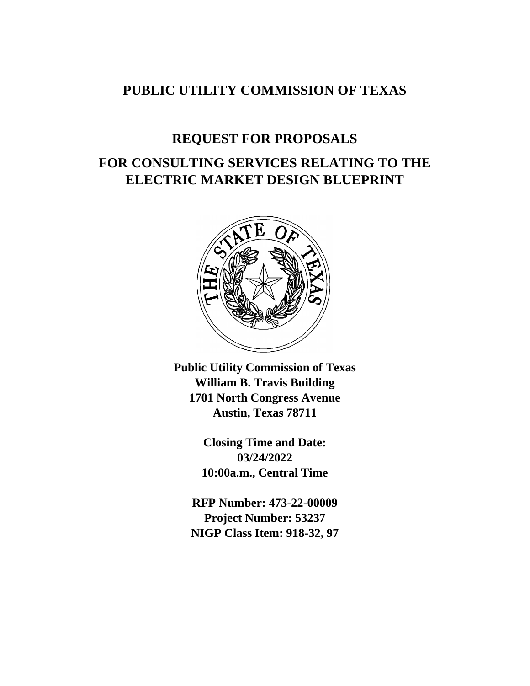# **PUBLIC UTILITY COMMISSION OF TEXAS**

# **REQUEST FOR PROPOSALS FOR CONSULTING SERVICES RELATING TO THE ELECTRIC MARKET DESIGN BLUEPRINT**



**Public Utility Commission of Texas William B. Travis Building 1701 North Congress Avenue Austin, Texas 78711**

> **Closing Time and Date: 03/24/2022 10:00a.m., Central Time**

**RFP Number: 473-22-00009 Project Number: 53237 NIGP Class Item: 918-32, 97**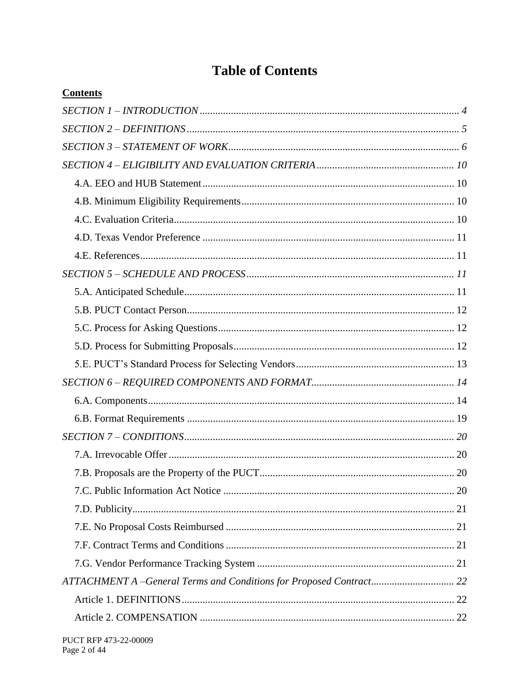# **Table of Contents**

| <b>Contents</b>                                                     |    |
|---------------------------------------------------------------------|----|
|                                                                     |    |
|                                                                     |    |
|                                                                     |    |
|                                                                     |    |
|                                                                     |    |
|                                                                     |    |
|                                                                     |    |
|                                                                     |    |
|                                                                     |    |
|                                                                     |    |
|                                                                     |    |
|                                                                     |    |
|                                                                     |    |
|                                                                     |    |
|                                                                     |    |
|                                                                     |    |
|                                                                     |    |
|                                                                     |    |
|                                                                     |    |
|                                                                     |    |
|                                                                     | 20 |
|                                                                     |    |
|                                                                     |    |
|                                                                     |    |
|                                                                     |    |
|                                                                     |    |
| ATTACHMENT A -General Terms and Conditions for Proposed Contract 22 |    |
|                                                                     |    |
|                                                                     |    |
|                                                                     |    |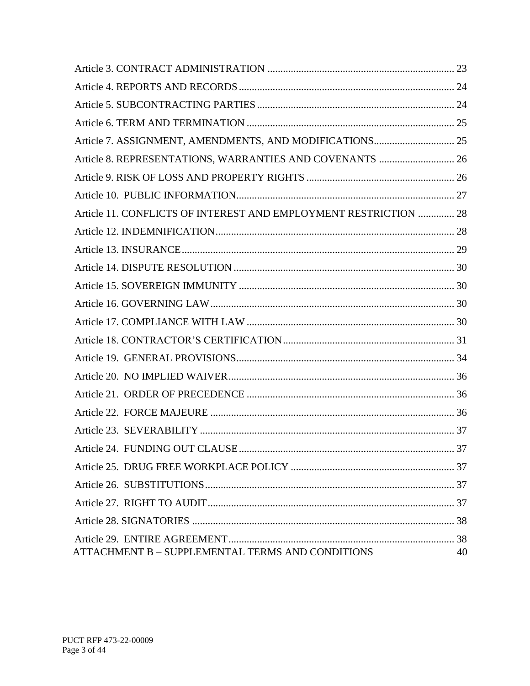| Article 8. REPRESENTATIONS, WARRANTIES AND COVENANTS  26         |    |
|------------------------------------------------------------------|----|
|                                                                  |    |
|                                                                  |    |
| Article 11. CONFLICTS OF INTEREST AND EMPLOYMENT RESTRICTION  28 |    |
|                                                                  |    |
|                                                                  |    |
|                                                                  |    |
|                                                                  |    |
|                                                                  |    |
|                                                                  |    |
|                                                                  |    |
|                                                                  |    |
|                                                                  |    |
|                                                                  |    |
|                                                                  |    |
|                                                                  |    |
|                                                                  |    |
|                                                                  |    |
|                                                                  |    |
|                                                                  |    |
|                                                                  |    |
|                                                                  |    |
| ATTACHMENT B - SUPPLEMENTAL TERMS AND CONDITIONS                 | 40 |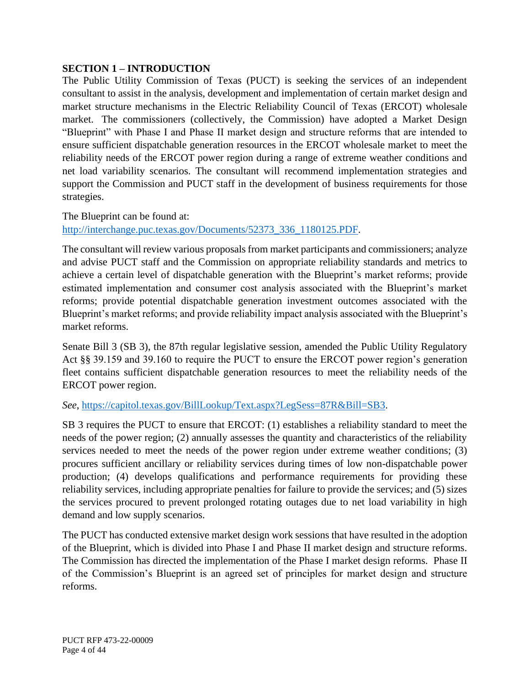#### <span id="page-3-0"></span>**SECTION 1 – INTRODUCTION**

The Public Utility Commission of Texas (PUCT) is seeking the services of an independent consultant to assist in the analysis, development and implementation of certain market design and market structure mechanisms in the Electric Reliability Council of Texas (ERCOT) wholesale market. The commissioners (collectively, the Commission) have adopted a Market Design "Blueprint" with Phase I and Phase II market design and structure reforms that are intended to ensure sufficient dispatchable generation resources in the ERCOT wholesale market to meet the reliability needs of the ERCOT power region during a range of extreme weather conditions and net load variability scenarios. The consultant will recommend implementation strategies and support the Commission and PUCT staff in the development of business requirements for those strategies.

The Blueprint can be found at: [http://interchange.puc.texas.gov/Documents/52373\\_336\\_1180125.PDF.](http://interchange.puc.texas.gov/Documents/52373_336_1180125.PDF)

The consultant will review various proposals from market participants and commissioners; analyze and advise PUCT staff and the Commission on appropriate reliability standards and metrics to achieve a certain level of dispatchable generation with the Blueprint's market reforms; provide estimated implementation and consumer cost analysis associated with the Blueprint's market reforms; provide potential dispatchable generation investment outcomes associated with the Blueprint's market reforms; and provide reliability impact analysis associated with the Blueprint's market reforms.

Senate Bill 3 (SB 3), the 87th regular legislative session, amended the Public Utility Regulatory Act §§ 39.159 and 39.160 to require the PUCT to ensure the ERCOT power region's generation fleet contains sufficient dispatchable generation resources to meet the reliability needs of the ERCOT power region.

#### *See*, [https://capitol.texas.gov/BillLookup/Text.aspx?LegSess=87R&Bill=SB3.](https://capitol.texas.gov/BillLookup/Text.aspx?LegSess=87R&Bill=SB3)

SB 3 requires the PUCT to ensure that ERCOT: (1) establishes a reliability standard to meet the needs of the power region; (2) annually assesses the quantity and characteristics of the reliability services needed to meet the needs of the power region under extreme weather conditions; (3) procures sufficient ancillary or reliability services during times of low non-dispatchable power production; (4) develops qualifications and performance requirements for providing these reliability services, including appropriate penalties for failure to provide the services; and (5) sizes the services procured to prevent prolonged rotating outages due to net load variability in high demand and low supply scenarios.

The PUCT has conducted extensive market design work sessions that have resulted in the adoption of the Blueprint, which is divided into Phase I and Phase II market design and structure reforms. The Commission has directed the implementation of the Phase I market design reforms. Phase II of the Commission's Blueprint is an agreed set of principles for market design and structure reforms.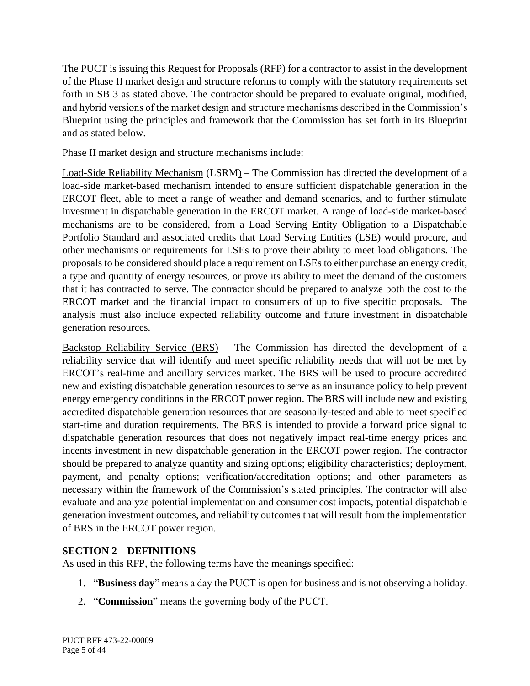The PUCT is issuing this Request for Proposals (RFP) for a contractor to assist in the development of the Phase II market design and structure reforms to comply with the statutory requirements set forth in SB 3 as stated above. The contractor should be prepared to evaluate original, modified, and hybrid versions of the market design and structure mechanisms described in the Commission's Blueprint using the principles and framework that the Commission has set forth in its Blueprint and as stated below.

Phase II market design and structure mechanisms include:

Load-Side Reliability Mechanism (LSRM) – The Commission has directed the development of a load-side market-based mechanism intended to ensure sufficient dispatchable generation in the ERCOT fleet, able to meet a range of weather and demand scenarios, and to further stimulate investment in dispatchable generation in the ERCOT market. A range of load-side market-based mechanisms are to be considered, from a Load Serving Entity Obligation to a Dispatchable Portfolio Standard and associated credits that Load Serving Entities (LSE) would procure, and other mechanisms or requirements for LSEs to prove their ability to meet load obligations. The proposals to be considered should place a requirement on LSEs to either purchase an energy credit, a type and quantity of energy resources, or prove its ability to meet the demand of the customers that it has contracted to serve. The contractor should be prepared to analyze both the cost to the ERCOT market and the financial impact to consumers of up to five specific proposals. The analysis must also include expected reliability outcome and future investment in dispatchable generation resources.

Backstop Reliability Service (BRS) – The Commission has directed the development of a reliability service that will identify and meet specific reliability needs that will not be met by ERCOT's real-time and ancillary services market. The BRS will be used to procure accredited new and existing dispatchable generation resources to serve as an insurance policy to help prevent energy emergency conditions in the ERCOT power region. The BRS will include new and existing accredited dispatchable generation resources that are seasonally-tested and able to meet specified start-time and duration requirements. The BRS is intended to provide a forward price signal to dispatchable generation resources that does not negatively impact real-time energy prices and incents investment in new dispatchable generation in the ERCOT power region. The contractor should be prepared to analyze quantity and sizing options; eligibility characteristics; deployment, payment, and penalty options; verification/accreditation options; and other parameters as necessary within the framework of the Commission's stated principles. The contractor will also evaluate and analyze potential implementation and consumer cost impacts, potential dispatchable generation investment outcomes, and reliability outcomes that will result from the implementation of BRS in the ERCOT power region.

#### <span id="page-4-0"></span>**SECTION 2 – DEFINITIONS**

As used in this RFP, the following terms have the meanings specified:

- 1. "**Business day**" means a day the PUCT is open for business and is not observing a holiday.
- 2. "**Commission**" means the governing body of the PUCT.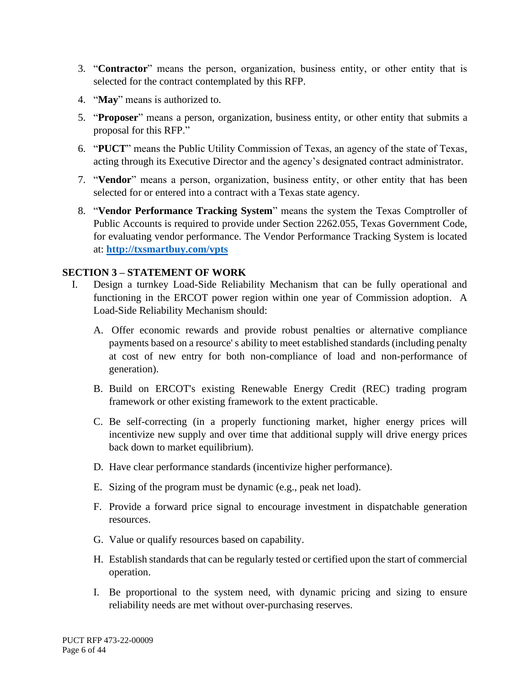- 3. "**Contractor**" means the person, organization, business entity, or other entity that is selected for the contract contemplated by this RFP.
- 4. "**May**" means is authorized to.
- 5. "**Proposer**" means a person, organization, business entity, or other entity that submits a proposal for this RFP."
- 6. "**PUCT**" means the Public Utility Commission of Texas, an agency of the state of Texas, acting through its Executive Director and the agency's designated contract administrator.
- 7. "**Vendor**" means a person, organization, business entity, or other entity that has been selected for or entered into a contract with a Texas state agency.
- 8. "**Vendor Performance Tracking System**" means the system the Texas Comptroller of Public Accounts is required to provide under Section 2262.055, Texas Government Code, for evaluating vendor performance. The Vendor Performance Tracking System is located at: **<http://txsmartbuy.com/vpts>**

#### <span id="page-5-0"></span>**SECTION 3 – STATEMENT OF WORK**

- I. Design a turnkey Load-Side Reliability Mechanism that can be fully operational and functioning in the ERCOT power region within one year of Commission adoption. A Load-Side Reliability Mechanism should:
	- A. Offer economic rewards and provide robust penalties or alternative compliance payments based on a resource' s ability to meet established standards (including penalty at cost of new entry for both non-compliance of load and non-performance of generation).
	- B. Build on ERCOT's existing Renewable Energy Credit (REC) trading program framework or other existing framework to the extent practicable.
	- C. Be self-correcting (in a properly functioning market, higher energy prices will incentivize new supply and over time that additional supply will drive energy prices back down to market equilibrium).
	- D. Have clear performance standards (incentivize higher performance).
	- E. Sizing of the program must be dynamic (e.g., peak net load).
	- F. Provide a forward price signal to encourage investment in dispatchable generation resources.
	- G. Value or qualify resources based on capability.
	- H. Establish standards that can be regularly tested or certified upon the start of commercial operation.
	- I. Be proportional to the system need, with dynamic pricing and sizing to ensure reliability needs are met without over-purchasing reserves.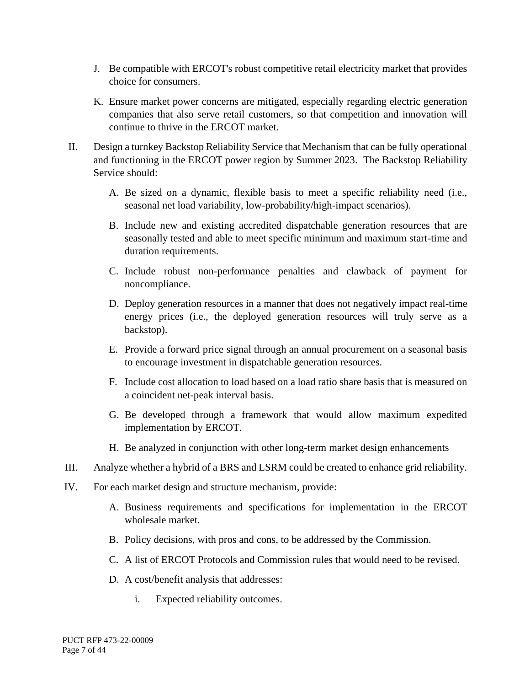- J. Be compatible with ERCOT's robust competitive retail electricity market that provides choice for consumers.
- K. Ensure market power concerns are mitigated, especially regarding electric generation companies that also serve retail customers, so that competition and innovation will continue to thrive in the ERCOT market.
- II. Design a turnkey Backstop Reliability Service that Mechanism that can be fully operational and functioning in the ERCOT power region by Summer 2023. The Backstop Reliability Service should:
	- A. Be sized on a dynamic, flexible basis to meet a specific reliability need (i.e., seasonal net load variability, low-probability/high-impact scenarios).
	- B. Include new and existing accredited dispatchable generation resources that are seasonally tested and able to meet specific minimum and maximum start-time and duration requirements.
	- C. Include robust non-performance penalties and clawback of payment for noncompliance.
	- D. Deploy generation resources in a manner that does not negatively impact real-time energy prices (i.e., the deployed generation resources will truly serve as a backstop).
	- E. Provide a forward price signal through an annual procurement on a seasonal basis to encourage investment in dispatchable generation resources.
	- F. Include cost allocation to load based on a load ratio share basis that is measured on a coincident net-peak interval basis.
	- G. Be developed through a framework that would allow maximum expedited implementation by ERCOT.
	- H. Be analyzed in conjunction with other long-term market design enhancements
- III. Analyze whether a hybrid of a BRS and LSRM could be created to enhance grid reliability.
- IV. For each market design and structure mechanism, provide:
	- A. Business requirements and specifications for implementation in the ERCOT wholesale market.
	- B. Policy decisions, with pros and cons, to be addressed by the Commission.
	- C. A list of ERCOT Protocols and Commission rules that would need to be revised.
	- D. A cost/benefit analysis that addresses:
		- i. Expected reliability outcomes.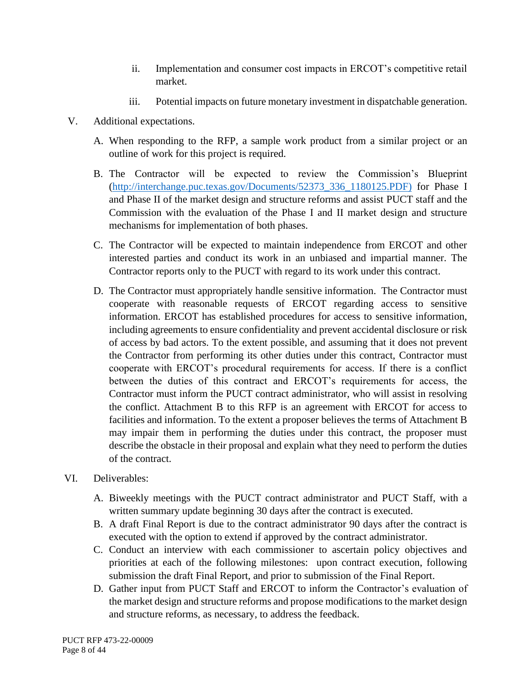- ii. Implementation and consumer cost impacts in ERCOT's competitive retail market.
- iii. Potential impacts on future monetary investment in dispatchable generation.
- V. Additional expectations.
	- A. When responding to the RFP, a sample work product from a similar project or an outline of work for this project is required.
	- B. The Contractor will be expected to review the Commission's Blueprint [\(http://interchange.puc.texas.gov/Documents/52373\\_336\\_1180125.PDF\)](http://interchange.puc.texas.gov/Documents/52373_336_1180125.PDF) for Phase I and Phase II of the market design and structure reforms and assist PUCT staff and the Commission with the evaluation of the Phase I and II market design and structure mechanisms for implementation of both phases.
	- C. The Contractor will be expected to maintain independence from ERCOT and other interested parties and conduct its work in an unbiased and impartial manner. The Contractor reports only to the PUCT with regard to its work under this contract.
	- D. The Contractor must appropriately handle sensitive information. The Contractor must cooperate with reasonable requests of ERCOT regarding access to sensitive information. ERCOT has established procedures for access to sensitive information, including agreements to ensure confidentiality and prevent accidental disclosure or risk of access by bad actors. To the extent possible, and assuming that it does not prevent the Contractor from performing its other duties under this contract, Contractor must cooperate with ERCOT's procedural requirements for access. If there is a conflict between the duties of this contract and ERCOT's requirements for access, the Contractor must inform the PUCT contract administrator, who will assist in resolving the conflict. Attachment B to this RFP is an agreement with ERCOT for access to facilities and information. To the extent a proposer believes the terms of Attachment B may impair them in performing the duties under this contract, the proposer must describe the obstacle in their proposal and explain what they need to perform the duties of the contract.
- VI. Deliverables:
	- A. Biweekly meetings with the PUCT contract administrator and PUCT Staff, with a written summary update beginning 30 days after the contract is executed.
	- B. A draft Final Report is due to the contract administrator 90 days after the contract is executed with the option to extend if approved by the contract administrator.
	- C. Conduct an interview with each commissioner to ascertain policy objectives and priorities at each of the following milestones: upon contract execution, following submission the draft Final Report, and prior to submission of the Final Report.
	- D. Gather input from PUCT Staff and ERCOT to inform the Contractor's evaluation of the market design and structure reforms and propose modifications to the market design and structure reforms, as necessary, to address the feedback.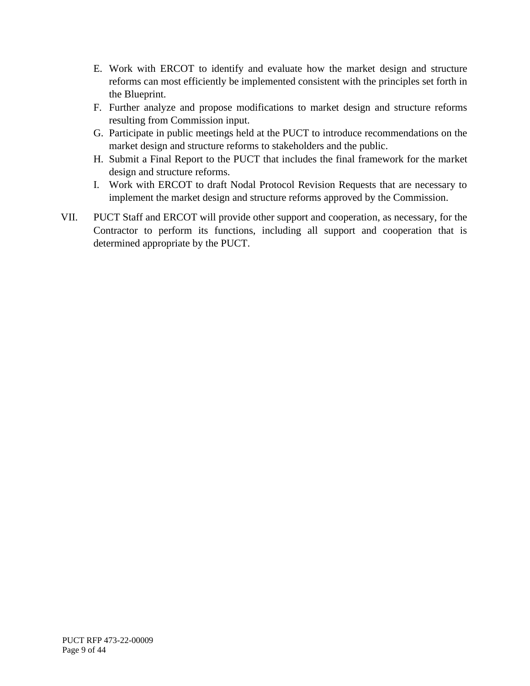- E. Work with ERCOT to identify and evaluate how the market design and structure reforms can most efficiently be implemented consistent with the principles set forth in the Blueprint.
- F. Further analyze and propose modifications to market design and structure reforms resulting from Commission input.
- G. Participate in public meetings held at the PUCT to introduce recommendations on the market design and structure reforms to stakeholders and the public.
- H. Submit a Final Report to the PUCT that includes the final framework for the market design and structure reforms.
- I. Work with ERCOT to draft Nodal Protocol Revision Requests that are necessary to implement the market design and structure reforms approved by the Commission.
- VII. PUCT Staff and ERCOT will provide other support and cooperation, as necessary, for the Contractor to perform its functions, including all support and cooperation that is determined appropriate by the PUCT.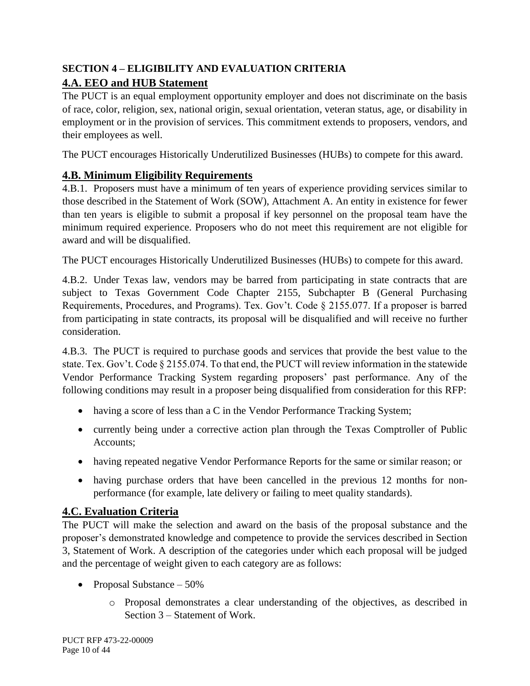# <span id="page-9-1"></span><span id="page-9-0"></span>**SECTION 4 – ELIGIBILITY AND EVALUATION CRITERIA 4.A. EEO and HUB Statement**

The PUCT is an equal employment opportunity employer and does not discriminate on the basis of race, color, religion, sex, national origin, sexual orientation, veteran status, age, or disability in employment or in the provision of services. This commitment extends to proposers, vendors, and their employees as well.

The PUCT encourages Historically Underutilized Businesses (HUBs) to compete for this award.

# <span id="page-9-2"></span>**4.B. Minimum Eligibility Requirements**

4.B.1. Proposers must have a minimum of ten years of experience providing services similar to those described in the Statement of Work (SOW), Attachment A. An entity in existence for fewer than ten years is eligible to submit a proposal if key personnel on the proposal team have the minimum required experience. Proposers who do not meet this requirement are not eligible for award and will be disqualified.

The PUCT encourages Historically Underutilized Businesses (HUBs) to compete for this award.

4.B.2. Under Texas law, vendors may be barred from participating in state contracts that are subject to Texas Government Code Chapter 2155, Subchapter B (General Purchasing Requirements, Procedures, and Programs). Tex. Gov't. Code § 2155.077. If a proposer is barred from participating in state contracts, its proposal will be disqualified and will receive no further consideration.

4.B.3. The PUCT is required to purchase goods and services that provide the best value to the state. Tex. Gov't. Code § 2155.074. To that end, the PUCT will review information in the statewide Vendor Performance Tracking System regarding proposers' past performance. Any of the following conditions may result in a proposer being disqualified from consideration for this RFP:

- having a score of less than a C in the Vendor Performance Tracking System;
- currently being under a corrective action plan through the Texas Comptroller of Public Accounts;
- having repeated negative Vendor Performance Reports for the same or similar reason; or
- having purchase orders that have been cancelled in the previous 12 months for nonperformance (for example, late delivery or failing to meet quality standards).

# <span id="page-9-3"></span>**4.C. Evaluation Criteria**

The PUCT will make the selection and award on the basis of the proposal substance and the proposer's demonstrated knowledge and competence to provide the services described in Section 3, Statement of Work. A description of the categories under which each proposal will be judged and the percentage of weight given to each category are as follows:

- Proposal Substance 50%
	- o Proposal demonstrates a clear understanding of the objectives, as described in Section 3 – Statement of Work.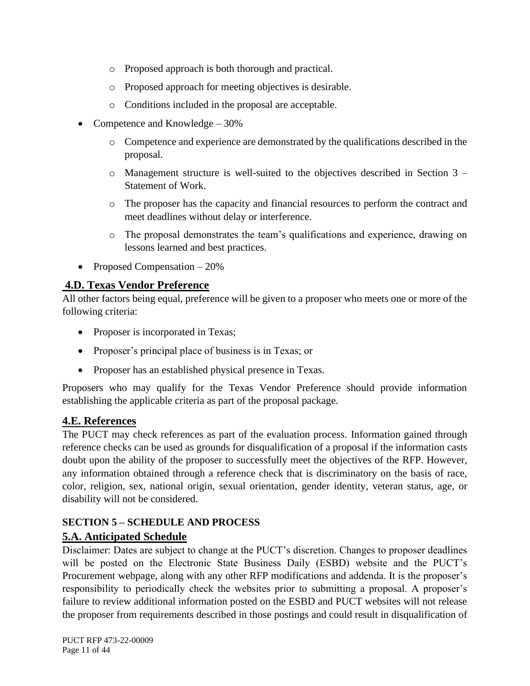- o Proposed approach is both thorough and practical.
- o Proposed approach for meeting objectives is desirable.
- o Conditions included in the proposal are acceptable.
- Competence and Knowledge 30%
	- o Competence and experience are demonstrated by the qualifications described in the proposal.
	- $\circ$  Management structure is well-suited to the objectives described in Section 3 Statement of Work.
	- o The proposer has the capacity and financial resources to perform the contract and meet deadlines without delay or interference.
	- o The proposal demonstrates the team's qualifications and experience, drawing on lessons learned and best practices.
- Proposed Compensation 20%

### <span id="page-10-0"></span>**4.D. Texas Vendor Preference**

All other factors being equal, preference will be given to a proposer who meets one or more of the following criteria:

- Proposer is incorporated in Texas;
- Proposer's principal place of business is in Texas; or
- Proposer has an established physical presence in Texas.

Proposers who may qualify for the Texas Vendor Preference should provide information establishing the applicable criteria as part of the proposal package.

### <span id="page-10-1"></span>**4.E. References**

The PUCT may check references as part of the evaluation process. Information gained through reference checks can be used as grounds for disqualification of a proposal if the information casts doubt upon the ability of the proposer to successfully meet the objectives of the RFP. However, any information obtained through a reference check that is discriminatory on the basis of race, color, religion, sex, national origin, sexual orientation, gender identity, veteran status, age, or disability will not be considered.

### <span id="page-10-2"></span>**SECTION 5 – SCHEDULE AND PROCESS**

### <span id="page-10-3"></span>**5.A. Anticipated Schedule**

Disclaimer: Dates are subject to change at the PUCT's discretion. Changes to proposer deadlines will be posted on the Electronic State Business Daily (ESBD) website and the PUCT's Procurement webpage, along with any other RFP modifications and addenda. It is the proposer's responsibility to periodically check the websites prior to submitting a proposal. A proposer's failure to review additional information posted on the ESBD and PUCT websites will not release the proposer from requirements described in those postings and could result in disqualification of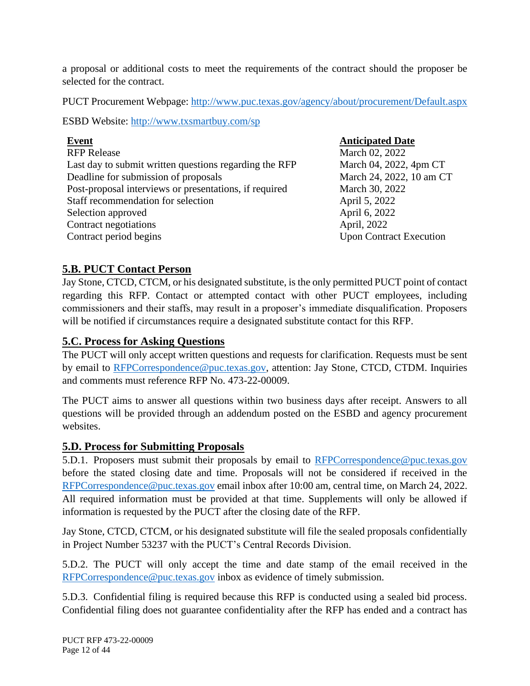a proposal or additional costs to meet the requirements of the contract should the proposer be selected for the contract.

PUCT Procurement Webpage:<http://www.puc.texas.gov/agency/about/procurement/Default.aspx>

ESBD Website:<http://www.txsmartbuy.com/sp>

| <b>Event</b>                                           | <b>Anticipated Date</b>        |
|--------------------------------------------------------|--------------------------------|
| <b>RFP Release</b>                                     | March 02, 2022                 |
| Last day to submit written questions regarding the RFP | March 04, 2022, 4pm CT         |
| Deadline for submission of proposals                   | March 24, 2022, 10 am CT       |
| Post-proposal interviews or presentations, if required | March 30, 2022                 |
| Staff recommendation for selection                     | April 5, 2022                  |
| Selection approved                                     | April 6, 2022                  |
| Contract negotiations                                  | April, 2022                    |
| Contract period begins                                 | <b>Upon Contract Execution</b> |

#### <span id="page-11-0"></span>**5.B. PUCT Contact Person**

Jay Stone, CTCD, CTCM, or his designated substitute, is the only permitted PUCT point of contact regarding this RFP. Contact or attempted contact with other PUCT employees, including commissioners and their staffs, may result in a proposer's immediate disqualification. Proposers will be notified if circumstances require a designated substitute contact for this RFP.

#### <span id="page-11-1"></span>**5.C. Process for Asking Questions**

The PUCT will only accept written questions and requests for clarification. Requests must be sent by email to [RFPCorrespondence@puc.texas.gov,](mailto:RFPCorrespondence@puc.texas.gov) attention: Jay Stone, CTCD, CTDM. Inquiries and comments must reference RFP No. 473-22-00009.

The PUCT aims to answer all questions within two business days after receipt. Answers to all questions will be provided through an addendum posted on the ESBD and agency procurement websites.

#### <span id="page-11-2"></span>**5.D. Process for Submitting Proposals**

5.D.1. Proposers must submit their proposals by email to [RFPCorrespondence@puc.texas.gov](mailto:RFPCorrespondence@puc.texas.gov) before the stated closing date and time. Proposals will not be considered if received in the [RFPCorrespondence@puc.texas.gov](mailto:RFPCorrespondence@puc.texas.gov) email inbox after 10:00 am, central time, on March 24, 2022. All required information must be provided at that time. Supplements will only be allowed if information is requested by the PUCT after the closing date of the RFP.

Jay Stone, CTCD, CTCM, or his designated substitute will file the sealed proposals confidentially in Project Number 53237 with the PUCT's Central Records Division.

5.D.2. The PUCT will only accept the time and date stamp of the email received in the [RFPCorrespondence@puc.texas.gov](mailto:RFPCorrespondence@puc.texas.gov) inbox as evidence of timely submission.

5.D.3. Confidential filing is required because this RFP is conducted using a sealed bid process. Confidential filing does not guarantee confidentiality after the RFP has ended and a contract has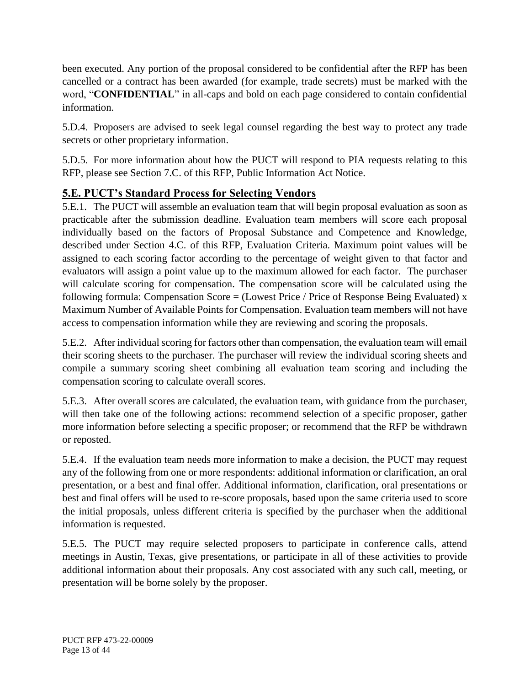been executed. Any portion of the proposal considered to be confidential after the RFP has been cancelled or a contract has been awarded (for example, trade secrets) must be marked with the word, "**CONFIDENTIAL**" in all-caps and bold on each page considered to contain confidential information.

5.D.4. Proposers are advised to seek legal counsel regarding the best way to protect any trade secrets or other proprietary information.

5.D.5. For more information about how the PUCT will respond to PIA requests relating to this RFP, please see Section 7.C. of this RFP, Public Information Act Notice.

### <span id="page-12-0"></span>**5.E. PUCT's Standard Process for Selecting Vendors**

5.E.1. The PUCT will assemble an evaluation team that will begin proposal evaluation as soon as practicable after the submission deadline. Evaluation team members will score each proposal individually based on the factors of Proposal Substance and Competence and Knowledge, described under Section 4.C. of this RFP, Evaluation Criteria. Maximum point values will be assigned to each scoring factor according to the percentage of weight given to that factor and evaluators will assign a point value up to the maximum allowed for each factor. The purchaser will calculate scoring for compensation. The compensation score will be calculated using the following formula: Compensation Score = (Lowest Price / Price of Response Being Evaluated)  $x$ Maximum Number of Available Points for Compensation. Evaluation team members will not have access to compensation information while they are reviewing and scoring the proposals.

5.E.2. After individual scoring for factors other than compensation, the evaluation team will email their scoring sheets to the purchaser. The purchaser will review the individual scoring sheets and compile a summary scoring sheet combining all evaluation team scoring and including the compensation scoring to calculate overall scores.

5.E.3. After overall scores are calculated, the evaluation team, with guidance from the purchaser, will then take one of the following actions: recommend selection of a specific proposer, gather more information before selecting a specific proposer; or recommend that the RFP be withdrawn or reposted.

5.E.4. If the evaluation team needs more information to make a decision, the PUCT may request any of the following from one or more respondents: additional information or clarification, an oral presentation, or a best and final offer. Additional information, clarification, oral presentations or best and final offers will be used to re-score proposals, based upon the same criteria used to score the initial proposals, unless different criteria is specified by the purchaser when the additional information is requested.

5.E.5. The PUCT may require selected proposers to participate in conference calls, attend meetings in Austin, Texas, give presentations, or participate in all of these activities to provide additional information about their proposals. Any cost associated with any such call, meeting, or presentation will be borne solely by the proposer.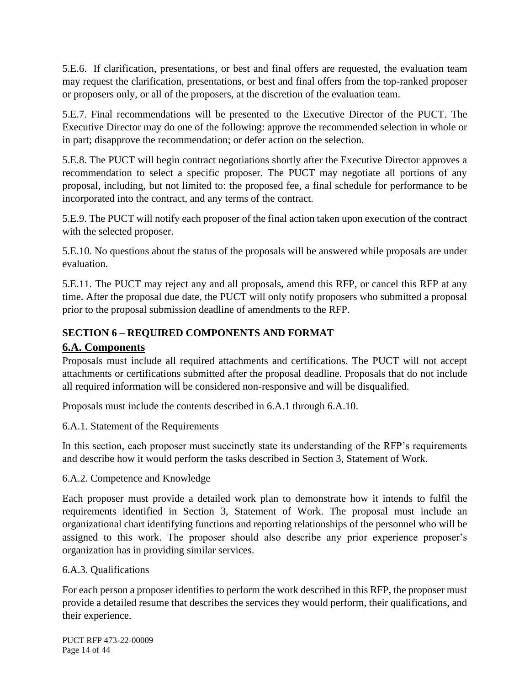5.E.6. If clarification, presentations, or best and final offers are requested, the evaluation team may request the clarification, presentations, or best and final offers from the top-ranked proposer or proposers only, or all of the proposers, at the discretion of the evaluation team.

5.E.7. Final recommendations will be presented to the Executive Director of the PUCT. The Executive Director may do one of the following: approve the recommended selection in whole or in part; disapprove the recommendation; or defer action on the selection.

5.E.8. The PUCT will begin contract negotiations shortly after the Executive Director approves a recommendation to select a specific proposer. The PUCT may negotiate all portions of any proposal, including, but not limited to: the proposed fee, a final schedule for performance to be incorporated into the contract, and any terms of the contract.

5.E.9. The PUCT will notify each proposer of the final action taken upon execution of the contract with the selected proposer.

5.E.10. No questions about the status of the proposals will be answered while proposals are under evaluation.

5.E.11. The PUCT may reject any and all proposals, amend this RFP, or cancel this RFP at any time. After the proposal due date, the PUCT will only notify proposers who submitted a proposal prior to the proposal submission deadline of amendments to the RFP.

# <span id="page-13-0"></span>**SECTION 6 – REQUIRED COMPONENTS AND FORMAT**

### <span id="page-13-1"></span>**6.A. Components**

Proposals must include all required attachments and certifications. The PUCT will not accept attachments or certifications submitted after the proposal deadline. Proposals that do not include all required information will be considered non-responsive and will be disqualified.

Proposals must include the contents described in 6.A.1 through 6.A.10.

6.A.1. Statement of the Requirements

In this section, each proposer must succinctly state its understanding of the RFP's requirements and describe how it would perform the tasks described in Section 3, Statement of Work.

6.A.2. Competence and Knowledge

Each proposer must provide a detailed work plan to demonstrate how it intends to fulfil the requirements identified in Section 3, Statement of Work. The proposal must include an organizational chart identifying functions and reporting relationships of the personnel who will be assigned to this work. The proposer should also describe any prior experience proposer's organization has in providing similar services.

### 6.A.3. Qualifications

For each person a proposer identifies to perform the work described in this RFP, the proposer must provide a detailed resume that describes the services they would perform, their qualifications, and their experience.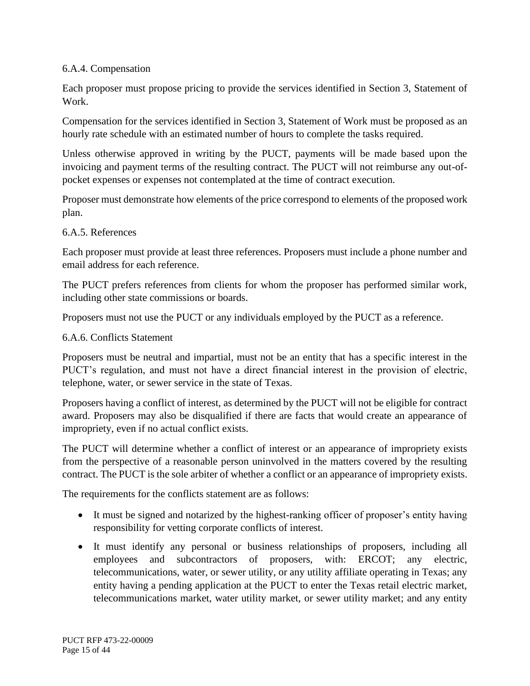#### 6.A.4. Compensation

Each proposer must propose pricing to provide the services identified in Section 3, Statement of Work.

Compensation for the services identified in Section 3, Statement of Work must be proposed as an hourly rate schedule with an estimated number of hours to complete the tasks required.

Unless otherwise approved in writing by the PUCT, payments will be made based upon the invoicing and payment terms of the resulting contract. The PUCT will not reimburse any out-ofpocket expenses or expenses not contemplated at the time of contract execution.

Proposer must demonstrate how elements of the price correspond to elements of the proposed work plan.

#### 6.A.5. References

Each proposer must provide at least three references. Proposers must include a phone number and email address for each reference.

The PUCT prefers references from clients for whom the proposer has performed similar work, including other state commissions or boards.

Proposers must not use the PUCT or any individuals employed by the PUCT as a reference.

#### 6.A.6. Conflicts Statement

Proposers must be neutral and impartial, must not be an entity that has a specific interest in the PUCT's regulation, and must not have a direct financial interest in the provision of electric, telephone, water, or sewer service in the state of Texas.

Proposers having a conflict of interest, as determined by the PUCT will not be eligible for contract award. Proposers may also be disqualified if there are facts that would create an appearance of impropriety, even if no actual conflict exists.

The PUCT will determine whether a conflict of interest or an appearance of impropriety exists from the perspective of a reasonable person uninvolved in the matters covered by the resulting contract. The PUCT is the sole arbiter of whether a conflict or an appearance of impropriety exists.

The requirements for the conflicts statement are as follows:

- It must be signed and notarized by the highest-ranking officer of proposer's entity having responsibility for vetting corporate conflicts of interest.
- It must identify any personal or business relationships of proposers, including all employees and subcontractors of proposers, with: ERCOT; any electric, telecommunications, water, or sewer utility, or any utility affiliate operating in Texas; any entity having a pending application at the PUCT to enter the Texas retail electric market, telecommunications market, water utility market, or sewer utility market; and any entity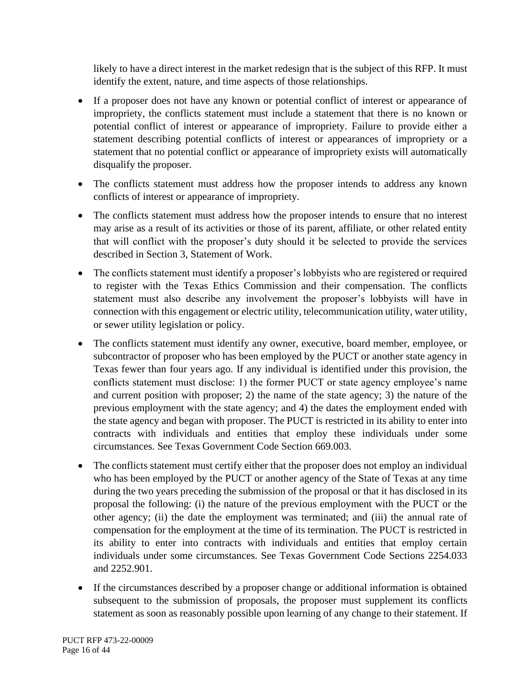likely to have a direct interest in the market redesign that is the subject of this RFP. It must identify the extent, nature, and time aspects of those relationships.

- If a proposer does not have any known or potential conflict of interest or appearance of impropriety, the conflicts statement must include a statement that there is no known or potential conflict of interest or appearance of impropriety. Failure to provide either a statement describing potential conflicts of interest or appearances of impropriety or a statement that no potential conflict or appearance of impropriety exists will automatically disqualify the proposer.
- The conflicts statement must address how the proposer intends to address any known conflicts of interest or appearance of impropriety.
- The conflicts statement must address how the proposer intends to ensure that no interest may arise as a result of its activities or those of its parent, affiliate, or other related entity that will conflict with the proposer's duty should it be selected to provide the services described in Section 3, Statement of Work.
- The conflicts statement must identify a proposer's lobbyists who are registered or required to register with the Texas Ethics Commission and their compensation. The conflicts statement must also describe any involvement the proposer's lobbyists will have in connection with this engagement or electric utility, telecommunication utility, water utility, or sewer utility legislation or policy.
- The conflicts statement must identify any owner, executive, board member, employee, or subcontractor of proposer who has been employed by the PUCT or another state agency in Texas fewer than four years ago. If any individual is identified under this provision, the conflicts statement must disclose: 1) the former PUCT or state agency employee's name and current position with proposer; 2) the name of the state agency; 3) the nature of the previous employment with the state agency; and 4) the dates the employment ended with the state agency and began with proposer. The PUCT is restricted in its ability to enter into contracts with individuals and entities that employ these individuals under some circumstances. See Texas Government Code Section 669.003.
- The conflicts statement must certify either that the proposer does not employ an individual who has been employed by the PUCT or another agency of the State of Texas at any time during the two years preceding the submission of the proposal or that it has disclosed in its proposal the following: (i) the nature of the previous employment with the PUCT or the other agency; (ii) the date the employment was terminated; and (iii) the annual rate of compensation for the employment at the time of its termination. The PUCT is restricted in its ability to enter into contracts with individuals and entities that employ certain individuals under some circumstances. See Texas Government Code Sections 2254.033 and 2252.901.
- If the circumstances described by a proposer change or additional information is obtained subsequent to the submission of proposals, the proposer must supplement its conflicts statement as soon as reasonably possible upon learning of any change to their statement. If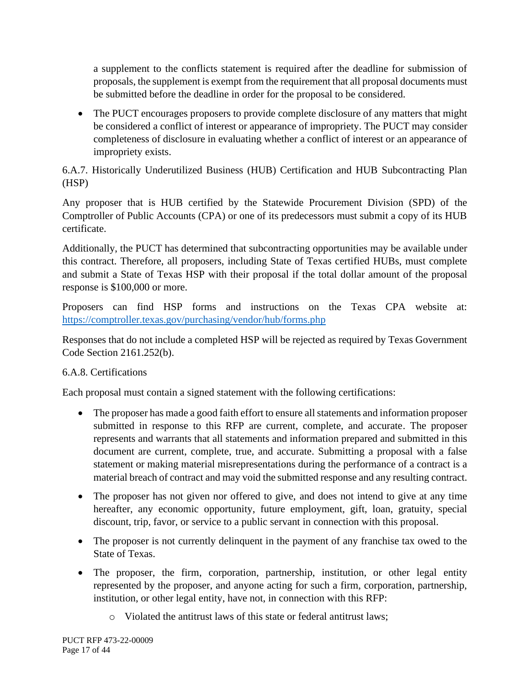a supplement to the conflicts statement is required after the deadline for submission of proposals, the supplement is exempt from the requirement that all proposal documents must be submitted before the deadline in order for the proposal to be considered.

• The PUCT encourages proposers to provide complete disclosure of any matters that might be considered a conflict of interest or appearance of impropriety. The PUCT may consider completeness of disclosure in evaluating whether a conflict of interest or an appearance of impropriety exists.

### 6.A.7. Historically Underutilized Business (HUB) Certification and HUB Subcontracting Plan (HSP)

Any proposer that is HUB certified by the Statewide Procurement Division (SPD) of the Comptroller of Public Accounts (CPA) or one of its predecessors must submit a copy of its HUB certificate.

Additionally, the PUCT has determined that subcontracting opportunities may be available under this contract. Therefore, all proposers, including State of Texas certified HUBs, must complete and submit a State of Texas HSP with their proposal if the total dollar amount of the proposal response is \$100,000 or more.

Proposers can find HSP forms and instructions on the Texas CPA website at: <https://comptroller.texas.gov/purchasing/vendor/hub/forms.php>

Responses that do not include a completed HSP will be rejected as required by Texas Government Code Section 2161.252(b).

### 6.A.8. Certifications

Each proposal must contain a signed statement with the following certifications:

- The proposer has made a good faith effort to ensure all statements and information proposer submitted in response to this RFP are current, complete, and accurate. The proposer represents and warrants that all statements and information prepared and submitted in this document are current, complete, true, and accurate. Submitting a proposal with a false statement or making material misrepresentations during the performance of a contract is a material breach of contract and may void the submitted response and any resulting contract.
- The proposer has not given nor offered to give, and does not intend to give at any time hereafter, any economic opportunity, future employment, gift, loan, gratuity, special discount, trip, favor, or service to a public servant in connection with this proposal.
- The proposer is not currently delinquent in the payment of any franchise tax owed to the State of Texas.
- The proposer, the firm, corporation, partnership, institution, or other legal entity represented by the proposer, and anyone acting for such a firm, corporation, partnership, institution, or other legal entity, have not, in connection with this RFP:
	- o Violated the antitrust laws of this state or federal antitrust laws;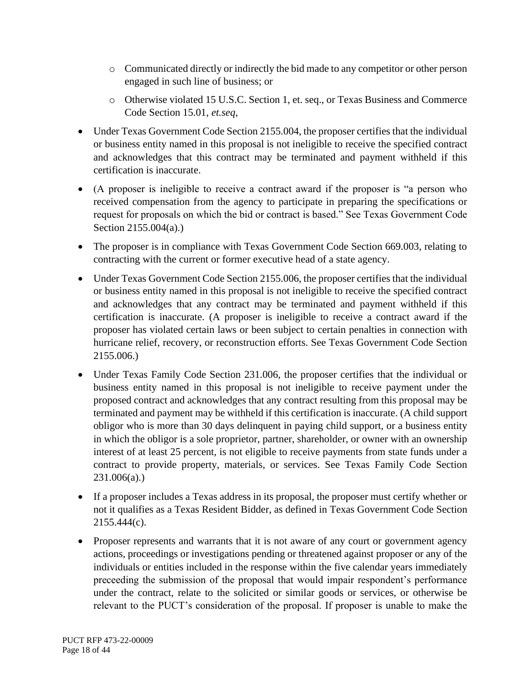- o Communicated directly or indirectly the bid made to any competitor or other person engaged in such line of business; or
- o Otherwise violated 15 U.S.C. Section 1, et. seq., or Texas Business and Commerce Code Section 15.01, *et.seq*,
- Under Texas Government Code Section 2155.004, the proposer certifies that the individual or business entity named in this proposal is not ineligible to receive the specified contract and acknowledges that this contract may be terminated and payment withheld if this certification is inaccurate.
- (A proposer is ineligible to receive a contract award if the proposer is "a person who received compensation from the agency to participate in preparing the specifications or request for proposals on which the bid or contract is based." See Texas Government Code Section 2155.004(a).)
- The proposer is in compliance with Texas Government Code Section 669.003, relating to contracting with the current or former executive head of a state agency.
- Under Texas Government Code Section 2155.006, the proposer certifies that the individual or business entity named in this proposal is not ineligible to receive the specified contract and acknowledges that any contract may be terminated and payment withheld if this certification is inaccurate. (A proposer is ineligible to receive a contract award if the proposer has violated certain laws or been subject to certain penalties in connection with hurricane relief, recovery, or reconstruction efforts. See Texas Government Code Section 2155.006.)
- Under Texas Family Code Section 231.006, the proposer certifies that the individual or business entity named in this proposal is not ineligible to receive payment under the proposed contract and acknowledges that any contract resulting from this proposal may be terminated and payment may be withheld if this certification is inaccurate. (A child support obligor who is more than 30 days delinquent in paying child support, or a business entity in which the obligor is a sole proprietor, partner, shareholder, or owner with an ownership interest of at least 25 percent, is not eligible to receive payments from state funds under a contract to provide property, materials, or services. See Texas Family Code Section 231.006(a).)
- If a proposer includes a Texas address in its proposal, the proposer must certify whether or not it qualifies as a Texas Resident Bidder, as defined in Texas Government Code Section 2155.444(c).
- Proposer represents and warrants that it is not aware of any court or government agency actions, proceedings or investigations pending or threatened against proposer or any of the individuals or entities included in the response within the five calendar years immediately preceeding the submission of the proposal that would impair respondent's performance under the contract, relate to the solicited or similar goods or services, or otherwise be relevant to the PUCT's consideration of the proposal. If proposer is unable to make the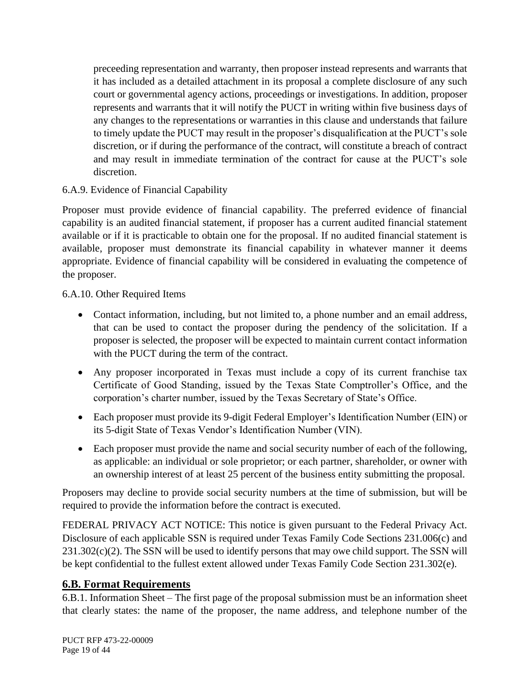preceeding representation and warranty, then proposer instead represents and warrants that it has included as a detailed attachment in its proposal a complete disclosure of any such court or governmental agency actions, proceedings or investigations. In addition, proposer represents and warrants that it will notify the PUCT in writing within five business days of any changes to the representations or warranties in this clause and understands that failure to timely update the PUCT may result in the proposer's disqualification at the PUCT's sole discretion, or if during the performance of the contract, will constitute a breach of contract and may result in immediate termination of the contract for cause at the PUCT's sole discretion.

#### 6.A.9. Evidence of Financial Capability

Proposer must provide evidence of financial capability. The preferred evidence of financial capability is an audited financial statement, if proposer has a current audited financial statement available or if it is practicable to obtain one for the proposal. If no audited financial statement is available, proposer must demonstrate its financial capability in whatever manner it deems appropriate. Evidence of financial capability will be considered in evaluating the competence of the proposer.

6.A.10. Other Required Items

- Contact information, including, but not limited to, a phone number and an email address, that can be used to contact the proposer during the pendency of the solicitation. If a proposer is selected, the proposer will be expected to maintain current contact information with the PUCT during the term of the contract.
- Any proposer incorporated in Texas must include a copy of its current franchise tax Certificate of Good Standing, issued by the Texas State Comptroller's Office, and the corporation's charter number, issued by the Texas Secretary of State's Office.
- Each proposer must provide its 9-digit Federal Employer's Identification Number (EIN) or its 5-digit State of Texas Vendor's Identification Number (VIN).
- Each proposer must provide the name and social security number of each of the following, as applicable: an individual or sole proprietor; or each partner, shareholder, or owner with an ownership interest of at least 25 percent of the business entity submitting the proposal.

Proposers may decline to provide social security numbers at the time of submission, but will be required to provide the information before the contract is executed.

FEDERAL PRIVACY ACT NOTICE: This notice is given pursuant to the Federal Privacy Act. Disclosure of each applicable SSN is required under Texas Family Code Sections 231.006(c) and  $231.302(c)(2)$ . The SSN will be used to identify persons that may owe child support. The SSN will be kept confidential to the fullest extent allowed under Texas Family Code Section 231.302(e).

### <span id="page-18-0"></span>**6.B. Format Requirements**

6.B.1. Information Sheet – The first page of the proposal submission must be an information sheet that clearly states: the name of the proposer, the name address, and telephone number of the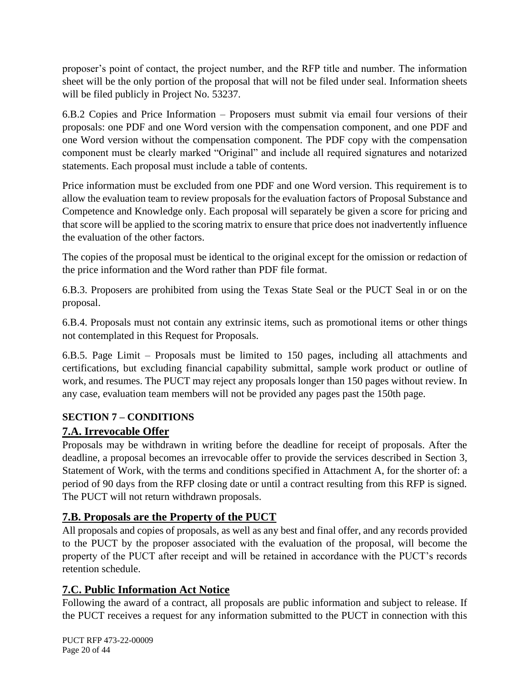proposer's point of contact, the project number, and the RFP title and number. The information sheet will be the only portion of the proposal that will not be filed under seal. Information sheets will be filed publicly in Project No. 53237.

6.B.2 Copies and Price Information – Proposers must submit via email four versions of their proposals: one PDF and one Word version with the compensation component, and one PDF and one Word version without the compensation component. The PDF copy with the compensation component must be clearly marked "Original" and include all required signatures and notarized statements. Each proposal must include a table of contents.

Price information must be excluded from one PDF and one Word version. This requirement is to allow the evaluation team to review proposals for the evaluation factors of Proposal Substance and Competence and Knowledge only. Each proposal will separately be given a score for pricing and that score will be applied to the scoring matrix to ensure that price does not inadvertently influence the evaluation of the other factors.

The copies of the proposal must be identical to the original except for the omission or redaction of the price information and the Word rather than PDF file format.

6.B.3. Proposers are prohibited from using the Texas State Seal or the PUCT Seal in or on the proposal.

6.B.4. Proposals must not contain any extrinsic items, such as promotional items or other things not contemplated in this Request for Proposals.

6.B.5. Page Limit – Proposals must be limited to 150 pages, including all attachments and certifications, but excluding financial capability submittal, sample work product or outline of work, and resumes. The PUCT may reject any proposals longer than 150 pages without review. In any case, evaluation team members will not be provided any pages past the 150th page.

### <span id="page-19-0"></span>**SECTION 7 – CONDITIONS**

### <span id="page-19-1"></span>**7.A. Irrevocable Offer**

Proposals may be withdrawn in writing before the deadline for receipt of proposals. After the deadline, a proposal becomes an irrevocable offer to provide the services described in Section 3, Statement of Work, with the terms and conditions specified in Attachment A, for the shorter of: a period of 90 days from the RFP closing date or until a contract resulting from this RFP is signed. The PUCT will not return withdrawn proposals.

### <span id="page-19-2"></span>**7.B. Proposals are the Property of the PUCT**

All proposals and copies of proposals, as well as any best and final offer, and any records provided to the PUCT by the proposer associated with the evaluation of the proposal, will become the property of the PUCT after receipt and will be retained in accordance with the PUCT's records retention schedule.

### <span id="page-19-3"></span>**7.C. Public Information Act Notice**

Following the award of a contract, all proposals are public information and subject to release. If the PUCT receives a request for any information submitted to the PUCT in connection with this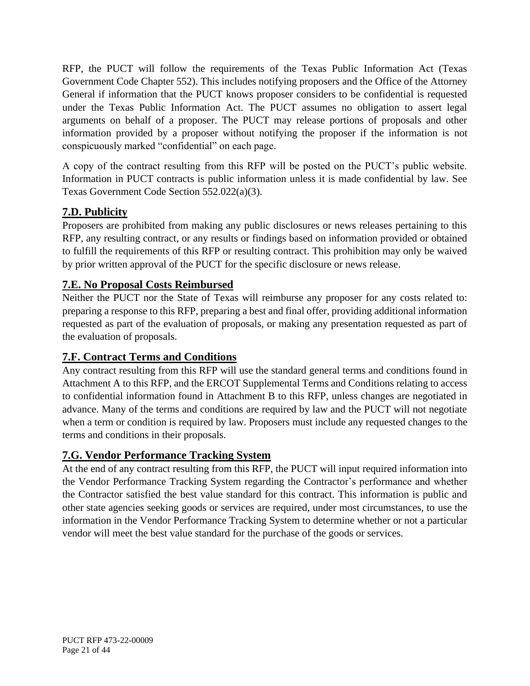RFP, the PUCT will follow the requirements of the Texas Public Information Act (Texas Government Code Chapter 552). This includes notifying proposers and the Office of the Attorney General if information that the PUCT knows proposer considers to be confidential is requested under the Texas Public Information Act. The PUCT assumes no obligation to assert legal arguments on behalf of a proposer. The PUCT may release portions of proposals and other information provided by a proposer without notifying the proposer if the information is not conspicuously marked "confidential" on each page.

A copy of the contract resulting from this RFP will be posted on the PUCT's public website. Information in PUCT contracts is public information unless it is made confidential by law. See Texas Government Code Section 552.022(a)(3).

# <span id="page-20-0"></span>**7.D. Publicity**

Proposers are prohibited from making any public disclosures or news releases pertaining to this RFP, any resulting contract, or any results or findings based on information provided or obtained to fulfill the requirements of this RFP or resulting contract. This prohibition may only be waived by prior written approval of the PUCT for the specific disclosure or news release.

### <span id="page-20-1"></span>**7.E. No Proposal Costs Reimbursed**

Neither the PUCT nor the State of Texas will reimburse any proposer for any costs related to: preparing a response to this RFP, preparing a best and final offer, providing additional information requested as part of the evaluation of proposals, or making any presentation requested as part of the evaluation of proposals.

### <span id="page-20-2"></span>**7.F. Contract Terms and Conditions**

Any contract resulting from this RFP will use the standard general terms and conditions found in Attachment A to this RFP, and the ERCOT Supplemental Terms and Conditions relating to access to confidential information found in Attachment B to this RFP, unless changes are negotiated in advance. Many of the terms and conditions are required by law and the PUCT will not negotiate when a term or condition is required by law. Proposers must include any requested changes to the terms and conditions in their proposals.

### <span id="page-20-3"></span>**7.G. Vendor Performance Tracking System**

At the end of any contract resulting from this RFP, the PUCT will input required information into the Vendor Performance Tracking System regarding the Contractor's performance and whether the Contractor satisfied the best value standard for this contract. This information is public and other state agencies seeking goods or services are required, under most circumstances, to use the information in the Vendor Performance Tracking System to determine whether or not a particular vendor will meet the best value standard for the purchase of the goods or services.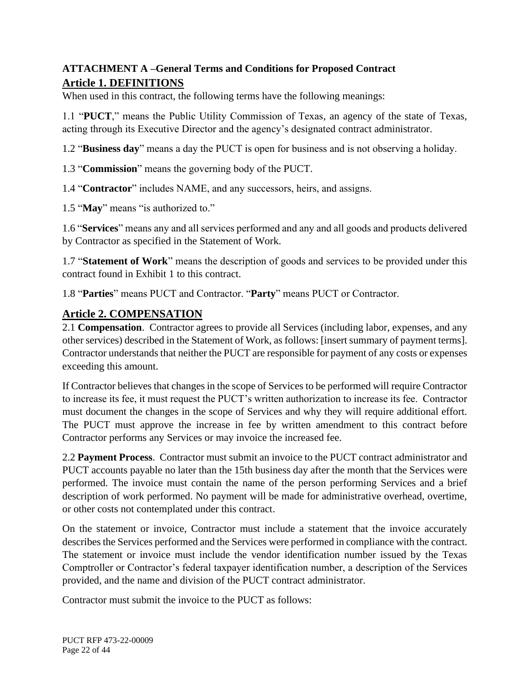### <span id="page-21-1"></span><span id="page-21-0"></span>**ATTACHMENT A –General Terms and Conditions for Proposed Contract Article 1. DEFINITIONS**

When used in this contract, the following terms have the following meanings:

1.1 "**PUCT**," means the Public Utility Commission of Texas, an agency of the state of Texas, acting through its Executive Director and the agency's designated contract administrator.

1.2 "**Business day**" means a day the PUCT is open for business and is not observing a holiday.

1.3 "**Commission**" means the governing body of the PUCT.

1.4 "**Contractor**" includes NAME, and any successors, heirs, and assigns.

1.5 "**May**" means "is authorized to."

1.6 "**Services**" means any and all services performed and any and all goods and products delivered by Contractor as specified in the Statement of Work.

1.7 "**Statement of Work**" means the description of goods and services to be provided under this contract found in Exhibit 1 to this contract.

1.8 "**Parties**" means PUCT and Contractor. "**Party**" means PUCT or Contractor.

#### <span id="page-21-2"></span>**Article 2. COMPENSATION**

2.1 **Compensation**. Contractor agrees to provide all Services (including labor, expenses, and any other services) described in the Statement of Work, as follows: [insert summary of payment terms]. Contractor understands that neither the PUCT are responsible for payment of any costs or expenses exceeding this amount.

If Contractor believes that changes in the scope of Services to be performed will require Contractor to increase its fee, it must request the PUCT's written authorization to increase its fee. Contractor must document the changes in the scope of Services and why they will require additional effort. The PUCT must approve the increase in fee by written amendment to this contract before Contractor performs any Services or may invoice the increased fee.

2.2 **Payment Process**. Contractor must submit an invoice to the PUCT contract administrator and PUCT accounts payable no later than the 15th business day after the month that the Services were performed. The invoice must contain the name of the person performing Services and a brief description of work performed. No payment will be made for administrative overhead, overtime, or other costs not contemplated under this contract.

On the statement or invoice, Contractor must include a statement that the invoice accurately describes the Services performed and the Services were performed in compliance with the contract. The statement or invoice must include the vendor identification number issued by the Texas Comptroller or Contractor's federal taxpayer identification number, a description of the Services provided, and the name and division of the PUCT contract administrator.

Contractor must submit the invoice to the PUCT as follows: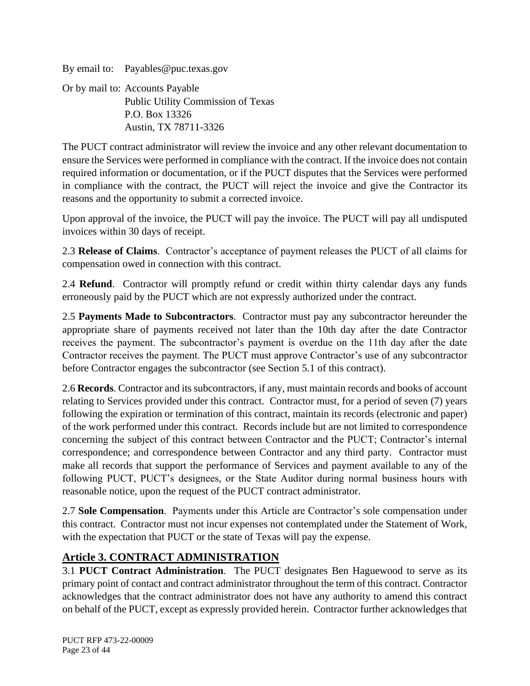By email to: Payables@puc.texas.gov Or by mail to: Accounts Payable Public Utility Commission of Texas P.O. Box 13326 Austin, TX 78711-3326

The PUCT contract administrator will review the invoice and any other relevant documentation to ensure the Services were performed in compliance with the contract. If the invoice does not contain required information or documentation, or if the PUCT disputes that the Services were performed in compliance with the contract, the PUCT will reject the invoice and give the Contractor its reasons and the opportunity to submit a corrected invoice.

Upon approval of the invoice, the PUCT will pay the invoice. The PUCT will pay all undisputed invoices within 30 days of receipt.

2.3 **Release of Claims**. Contractor's acceptance of payment releases the PUCT of all claims for compensation owed in connection with this contract.

2.4 **Refund**. Contractor will promptly refund or credit within thirty calendar days any funds erroneously paid by the PUCT which are not expressly authorized under the contract.

2.5 **Payments Made to Subcontractors**. Contractor must pay any subcontractor hereunder the appropriate share of payments received not later than the 10th day after the date Contractor receives the payment. The subcontractor's payment is overdue on the 11th day after the date Contractor receives the payment. The PUCT must approve Contractor's use of any subcontractor before Contractor engages the subcontractor (see Section 5.1 of this contract).

2.6 **Records**. Contractor and its subcontractors, if any, must maintain records and books of account relating to Services provided under this contract. Contractor must, for a period of seven (7) years following the expiration or termination of this contract, maintain its records (electronic and paper) of the work performed under this contract. Records include but are not limited to correspondence concerning the subject of this contract between Contractor and the PUCT; Contractor's internal correspondence; and correspondence between Contractor and any third party. Contractor must make all records that support the performance of Services and payment available to any of the following PUCT, PUCT's designees, or the State Auditor during normal business hours with reasonable notice, upon the request of the PUCT contract administrator.

2.7 **Sole Compensation**. Payments under this Article are Contractor's sole compensation under this contract. Contractor must not incur expenses not contemplated under the Statement of Work, with the expectation that PUCT or the state of Texas will pay the expense.

# <span id="page-22-0"></span>**Article 3. CONTRACT ADMINISTRATION**

3.1 **PUCT Contract Administration**. The PUCT designates Ben Haguewood to serve as its primary point of contact and contract administrator throughout the term of this contract. Contractor acknowledges that the contract administrator does not have any authority to amend this contract on behalf of the PUCT, except as expressly provided herein. Contractor further acknowledges that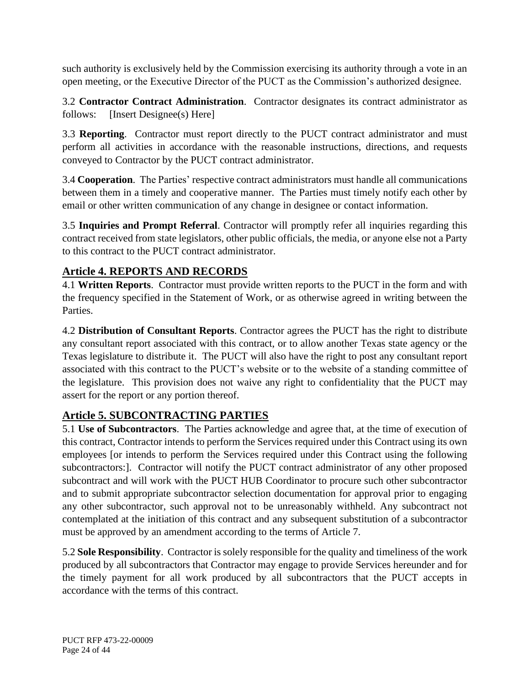such authority is exclusively held by the Commission exercising its authority through a vote in an open meeting, or the Executive Director of the PUCT as the Commission's authorized designee.

3.2 **Contractor Contract Administration**. Contractor designates its contract administrator as follows: [Insert Designee(s) Here]

3.3 **Reporting**. Contractor must report directly to the PUCT contract administrator and must perform all activities in accordance with the reasonable instructions, directions, and requests conveyed to Contractor by the PUCT contract administrator.

3.4 **Cooperation**. The Parties' respective contract administrators must handle all communications between them in a timely and cooperative manner. The Parties must timely notify each other by email or other written communication of any change in designee or contact information.

3.5 **Inquiries and Prompt Referral**. Contractor will promptly refer all inquiries regarding this contract received from state legislators, other public officials, the media, or anyone else not a Party to this contract to the PUCT contract administrator.

# <span id="page-23-0"></span>**Article 4. REPORTS AND RECORDS**

4.1 **Written Reports**. Contractor must provide written reports to the PUCT in the form and with the frequency specified in the Statement of Work, or as otherwise agreed in writing between the Parties.

4.2 **Distribution of Consultant Reports**. Contractor agrees the PUCT has the right to distribute any consultant report associated with this contract, or to allow another Texas state agency or the Texas legislature to distribute it. The PUCT will also have the right to post any consultant report associated with this contract to the PUCT's website or to the website of a standing committee of the legislature. This provision does not waive any right to confidentiality that the PUCT may assert for the report or any portion thereof.

### <span id="page-23-1"></span>**Article 5. SUBCONTRACTING PARTIES**

5.1 **Use of Subcontractors**. The Parties acknowledge and agree that, at the time of execution of this contract, Contractor intends to perform the Services required under this Contract using its own employees [or intends to perform the Services required under this Contract using the following subcontractors:]. Contractor will notify the PUCT contract administrator of any other proposed subcontract and will work with the PUCT HUB Coordinator to procure such other subcontractor and to submit appropriate subcontractor selection documentation for approval prior to engaging any other subcontractor, such approval not to be unreasonably withheld. Any subcontract not contemplated at the initiation of this contract and any subsequent substitution of a subcontractor must be approved by an amendment according to the terms of Article 7.

5.2 **Sole Responsibility**. Contractor is solely responsible for the quality and timeliness of the work produced by all subcontractors that Contractor may engage to provide Services hereunder and for the timely payment for all work produced by all subcontractors that the PUCT accepts in accordance with the terms of this contract.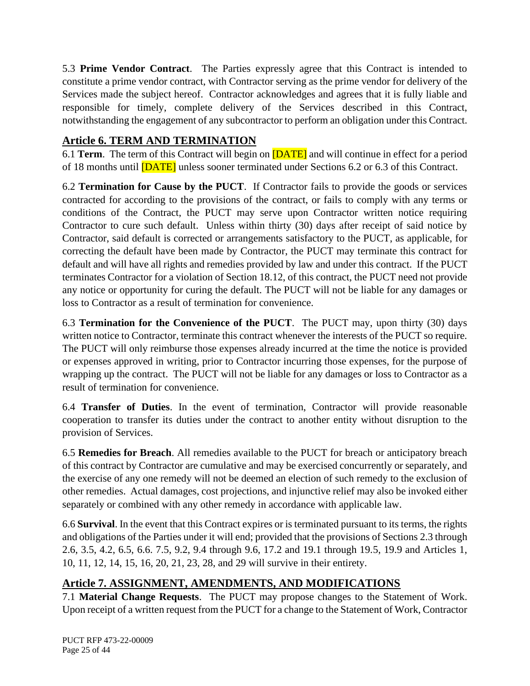5.3 **Prime Vendor Contract**. The Parties expressly agree that this Contract is intended to constitute a prime vendor contract, with Contractor serving as the prime vendor for delivery of the Services made the subject hereof. Contractor acknowledges and agrees that it is fully liable and responsible for timely, complete delivery of the Services described in this Contract, notwithstanding the engagement of any subcontractor to perform an obligation under this Contract.

### <span id="page-24-0"></span>**Article 6. TERM AND TERMINATION**

6.1 **Term**. The term of this Contract will begin on [DATE] and will continue in effect for a period of 18 months until [DATE] unless sooner terminated under Sections 6.2 or 6.3 of this Contract.

6.2 **Termination for Cause by the PUCT**. If Contractor fails to provide the goods or services contracted for according to the provisions of the contract, or fails to comply with any terms or conditions of the Contract, the PUCT may serve upon Contractor written notice requiring Contractor to cure such default. Unless within thirty (30) days after receipt of said notice by Contractor, said default is corrected or arrangements satisfactory to the PUCT, as applicable, for correcting the default have been made by Contractor, the PUCT may terminate this contract for default and will have all rights and remedies provided by law and under this contract. If the PUCT terminates Contractor for a violation of Section 18.12, of this contract, the PUCT need not provide any notice or opportunity for curing the default. The PUCT will not be liable for any damages or loss to Contractor as a result of termination for convenience.

6.3 **Termination for the Convenience of the PUCT**. The PUCT may, upon thirty (30) days written notice to Contractor, terminate this contract whenever the interests of the PUCT so require. The PUCT will only reimburse those expenses already incurred at the time the notice is provided or expenses approved in writing, prior to Contractor incurring those expenses, for the purpose of wrapping up the contract. The PUCT will not be liable for any damages or loss to Contractor as a result of termination for convenience.

6.4 **Transfer of Duties**. In the event of termination, Contractor will provide reasonable cooperation to transfer its duties under the contract to another entity without disruption to the provision of Services.

6.5 **Remedies for Breach**. All remedies available to the PUCT for breach or anticipatory breach of this contract by Contractor are cumulative and may be exercised concurrently or separately, and the exercise of any one remedy will not be deemed an election of such remedy to the exclusion of other remedies. Actual damages, cost projections, and injunctive relief may also be invoked either separately or combined with any other remedy in accordance with applicable law.

6.6 **Survival**. In the event that this Contract expires or is terminated pursuant to its terms, the rights and obligations of the Parties under it will end; provided that the provisions of Sections 2.3 through 2.6, 3.5, 4.2, 6.5, 6.6. 7.5, 9.2, 9.4 through 9.6, 17.2 and 19.1 through 19.5, 19.9 and Articles 1, 10, 11, 12, 14, 15, 16, 20, 21, 23, 28, and 29 will survive in their entirety.

### <span id="page-24-1"></span>**Article 7. ASSIGNMENT, AMENDMENTS, AND MODIFICATIONS**

7.1 **Material Change Requests**. The PUCT may propose changes to the Statement of Work. Upon receipt of a written request from the PUCT for a change to the Statement of Work, Contractor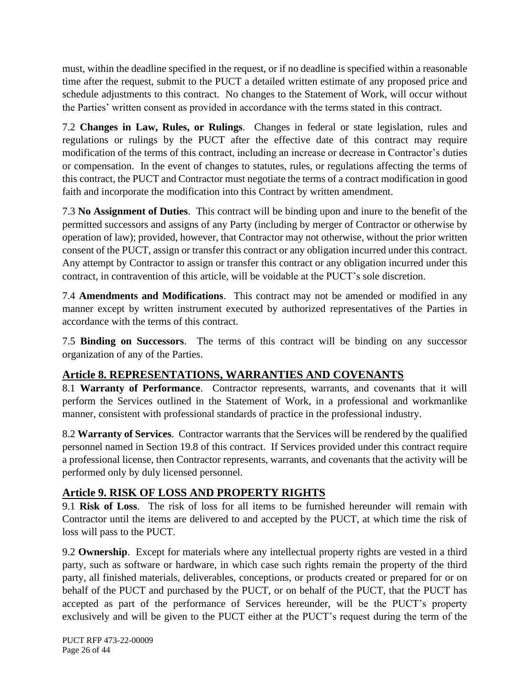must, within the deadline specified in the request, or if no deadline is specified within a reasonable time after the request, submit to the PUCT a detailed written estimate of any proposed price and schedule adjustments to this contract. No changes to the Statement of Work, will occur without the Parties' written consent as provided in accordance with the terms stated in this contract.

7.2 **Changes in Law, Rules, or Rulings**. Changes in federal or state legislation, rules and regulations or rulings by the PUCT after the effective date of this contract may require modification of the terms of this contract, including an increase or decrease in Contractor's duties or compensation. In the event of changes to statutes, rules, or regulations affecting the terms of this contract, the PUCT and Contractor must negotiate the terms of a contract modification in good faith and incorporate the modification into this Contract by written amendment.

7.3 **No Assignment of Duties**. This contract will be binding upon and inure to the benefit of the permitted successors and assigns of any Party (including by merger of Contractor or otherwise by operation of law); provided, however, that Contractor may not otherwise, without the prior written consent of the PUCT, assign or transfer this contract or any obligation incurred under this contract. Any attempt by Contractor to assign or transfer this contract or any obligation incurred under this contract, in contravention of this article, will be voidable at the PUCT's sole discretion.

7.4 **Amendments and Modifications**. This contract may not be amended or modified in any manner except by written instrument executed by authorized representatives of the Parties in accordance with the terms of this contract.

7.5 **Binding on Successors**. The terms of this contract will be binding on any successor organization of any of the Parties.

# <span id="page-25-0"></span>**Article 8. REPRESENTATIONS, WARRANTIES AND COVENANTS**

8.1 **Warranty of Performance**. Contractor represents, warrants, and covenants that it will perform the Services outlined in the Statement of Work, in a professional and workmanlike manner, consistent with professional standards of practice in the professional industry.

8.2 **Warranty of Services**. Contractor warrants that the Services will be rendered by the qualified personnel named in Section 19.8 of this contract. If Services provided under this contract require a professional license, then Contractor represents, warrants, and covenants that the activity will be performed only by duly licensed personnel.

### <span id="page-25-1"></span>**Article 9. RISK OF LOSS AND PROPERTY RIGHTS**

9.1 **Risk of Loss**. The risk of loss for all items to be furnished hereunder will remain with Contractor until the items are delivered to and accepted by the PUCT, at which time the risk of loss will pass to the PUCT.

9.2 **Ownership**. Except for materials where any intellectual property rights are vested in a third party, such as software or hardware, in which case such rights remain the property of the third party, all finished materials, deliverables, conceptions, or products created or prepared for or on behalf of the PUCT and purchased by the PUCT, or on behalf of the PUCT, that the PUCT has accepted as part of the performance of Services hereunder, will be the PUCT's property exclusively and will be given to the PUCT either at the PUCT's request during the term of the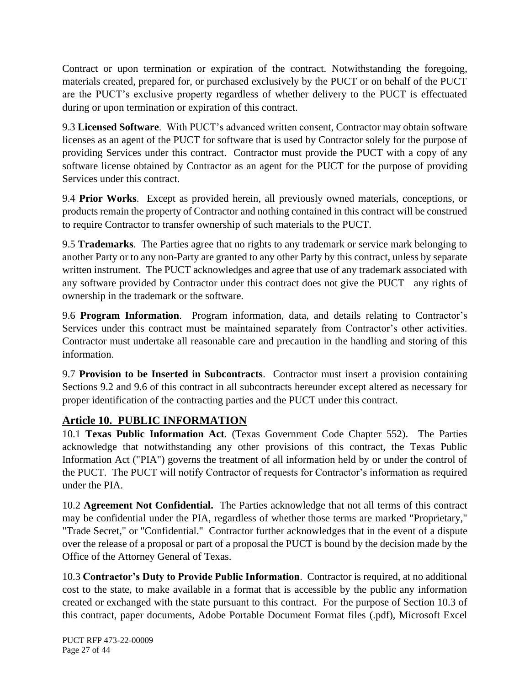Contract or upon termination or expiration of the contract. Notwithstanding the foregoing, materials created, prepared for, or purchased exclusively by the PUCT or on behalf of the PUCT are the PUCT's exclusive property regardless of whether delivery to the PUCT is effectuated during or upon termination or expiration of this contract.

9.3 **Licensed Software**. With PUCT's advanced written consent, Contractor may obtain software licenses as an agent of the PUCT for software that is used by Contractor solely for the purpose of providing Services under this contract. Contractor must provide the PUCT with a copy of any software license obtained by Contractor as an agent for the PUCT for the purpose of providing Services under this contract.

9.4 **Prior Works**. Except as provided herein, all previously owned materials, conceptions, or products remain the property of Contractor and nothing contained in this contract will be construed to require Contractor to transfer ownership of such materials to the PUCT.

9.5 **Trademarks**. The Parties agree that no rights to any trademark or service mark belonging to another Party or to any non-Party are granted to any other Party by this contract, unless by separate written instrument. The PUCT acknowledges and agree that use of any trademark associated with any software provided by Contractor under this contract does not give the PUCT any rights of ownership in the trademark or the software.

9.6 **Program Information**. Program information, data, and details relating to Contractor's Services under this contract must be maintained separately from Contractor's other activities. Contractor must undertake all reasonable care and precaution in the handling and storing of this information.

9.7 **Provision to be Inserted in Subcontracts**. Contractor must insert a provision containing Sections 9.2 and 9.6 of this contract in all subcontracts hereunder except altered as necessary for proper identification of the contracting parties and the PUCT under this contract.

# <span id="page-26-0"></span>**Article 10. PUBLIC INFORMATION**

10.1 **Texas Public Information Act**. (Texas Government Code Chapter 552). The Parties acknowledge that notwithstanding any other provisions of this contract, the Texas Public Information Act ("PIA") governs the treatment of all information held by or under the control of the PUCT. The PUCT will notify Contractor of requests for Contractor's information as required under the PIA.

10.2 **Agreement Not Confidential.** The Parties acknowledge that not all terms of this contract may be confidential under the PIA, regardless of whether those terms are marked "Proprietary," "Trade Secret," or "Confidential." Contractor further acknowledges that in the event of a dispute over the release of a proposal or part of a proposal the PUCT is bound by the decision made by the Office of the Attorney General of Texas.

10.3 **Contractor's Duty to Provide Public Information**. Contractor is required, at no additional cost to the state, to make available in a format that is accessible by the public any information created or exchanged with the state pursuant to this contract. For the purpose of Section 10.3 of this contract, paper documents, Adobe Portable Document Format files (.pdf), Microsoft Excel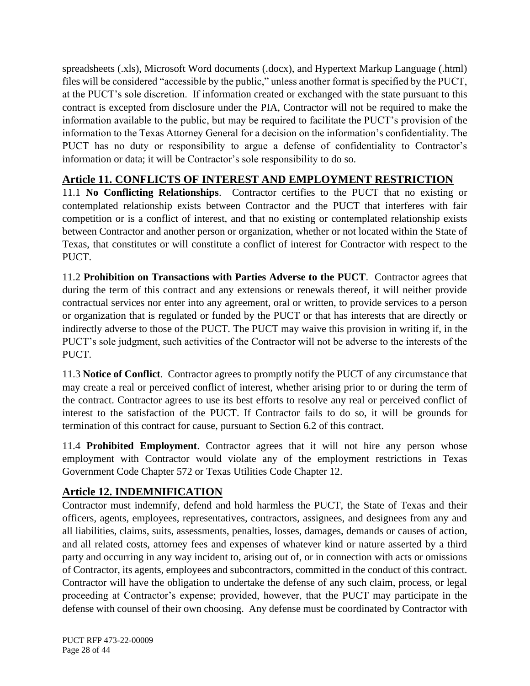spreadsheets (.xls), Microsoft Word documents (.docx), and Hypertext Markup Language (.html) files will be considered "accessible by the public," unless another format is specified by the PUCT, at the PUCT's sole discretion. If information created or exchanged with the state pursuant to this contract is excepted from disclosure under the PIA, Contractor will not be required to make the information available to the public, but may be required to facilitate the PUCT's provision of the information to the Texas Attorney General for a decision on the information's confidentiality. The PUCT has no duty or responsibility to argue a defense of confidentiality to Contractor's information or data; it will be Contractor's sole responsibility to do so.

# <span id="page-27-0"></span>**Article 11. CONFLICTS OF INTEREST AND EMPLOYMENT RESTRICTION**

11.1 **No Conflicting Relationships**. Contractor certifies to the PUCT that no existing or contemplated relationship exists between Contractor and the PUCT that interferes with fair competition or is a conflict of interest, and that no existing or contemplated relationship exists between Contractor and another person or organization, whether or not located within the State of Texas, that constitutes or will constitute a conflict of interest for Contractor with respect to the PUCT.

11.2 **Prohibition on Transactions with Parties Adverse to the PUCT**. Contractor agrees that during the term of this contract and any extensions or renewals thereof, it will neither provide contractual services nor enter into any agreement, oral or written, to provide services to a person or organization that is regulated or funded by the PUCT or that has interests that are directly or indirectly adverse to those of the PUCT. The PUCT may waive this provision in writing if, in the PUCT's sole judgment, such activities of the Contractor will not be adverse to the interests of the PUCT.

11.3 **Notice of Conflict**. Contractor agrees to promptly notify the PUCT of any circumstance that may create a real or perceived conflict of interest, whether arising prior to or during the term of the contract. Contractor agrees to use its best efforts to resolve any real or perceived conflict of interest to the satisfaction of the PUCT. If Contractor fails to do so, it will be grounds for termination of this contract for cause, pursuant to Section 6.2 of this contract.

11.4 **Prohibited Employment**. Contractor agrees that it will not hire any person whose employment with Contractor would violate any of the employment restrictions in Texas Government Code Chapter 572 or Texas Utilities Code Chapter 12.

### <span id="page-27-1"></span>**Article 12. INDEMNIFICATION**

Contractor must indemnify, defend and hold harmless the PUCT, the State of Texas and their officers, agents, employees, representatives, contractors, assignees, and designees from any and all liabilities, claims, suits, assessments, penalties, losses, damages, demands or causes of action, and all related costs, attorney fees and expenses of whatever kind or nature asserted by a third party and occurring in any way incident to, arising out of, or in connection with acts or omissions of Contractor, its agents, employees and subcontractors, committed in the conduct of this contract. Contractor will have the obligation to undertake the defense of any such claim, process, or legal proceeding at Contractor's expense; provided, however, that the PUCT may participate in the defense with counsel of their own choosing. Any defense must be coordinated by Contractor with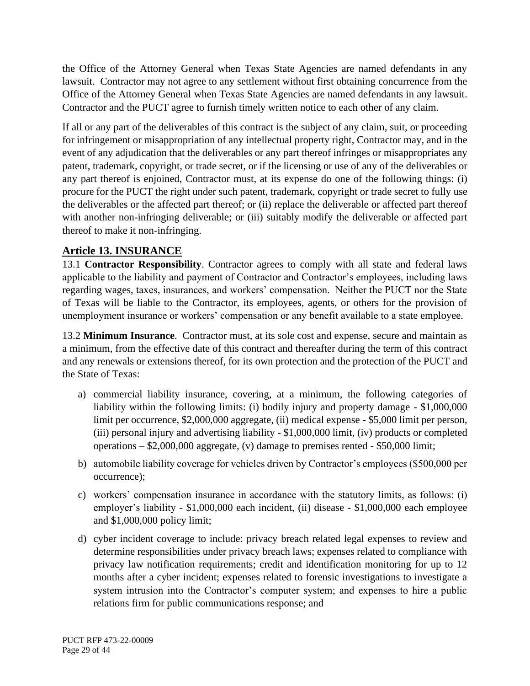the Office of the Attorney General when Texas State Agencies are named defendants in any lawsuit. Contractor may not agree to any settlement without first obtaining concurrence from the Office of the Attorney General when Texas State Agencies are named defendants in any lawsuit. Contractor and the PUCT agree to furnish timely written notice to each other of any claim.

If all or any part of the deliverables of this contract is the subject of any claim, suit, or proceeding for infringement or misappropriation of any intellectual property right, Contractor may, and in the event of any adjudication that the deliverables or any part thereof infringes or misappropriates any patent, trademark, copyright, or trade secret, or if the licensing or use of any of the deliverables or any part thereof is enjoined, Contractor must, at its expense do one of the following things: (i) procure for the PUCT the right under such patent, trademark, copyright or trade secret to fully use the deliverables or the affected part thereof; or (ii) replace the deliverable or affected part thereof with another non-infringing deliverable; or (iii) suitably modify the deliverable or affected part thereof to make it non-infringing.

### <span id="page-28-0"></span>**Article 13. INSURANCE**

13.1 **Contractor Responsibility**. Contractor agrees to comply with all state and federal laws applicable to the liability and payment of Contractor and Contractor's employees, including laws regarding wages, taxes, insurances, and workers' compensation. Neither the PUCT nor the State of Texas will be liable to the Contractor, its employees, agents, or others for the provision of unemployment insurance or workers' compensation or any benefit available to a state employee.

13.2 **Minimum Insurance**. Contractor must, at its sole cost and expense, secure and maintain as a minimum, from the effective date of this contract and thereafter during the term of this contract and any renewals or extensions thereof, for its own protection and the protection of the PUCT and the State of Texas:

- a) commercial liability insurance, covering, at a minimum, the following categories of liability within the following limits: (i) bodily injury and property damage - \$1,000,000 limit per occurrence, \$2,000,000 aggregate, (ii) medical expense - \$5,000 limit per person, (iii) personal injury and advertising liability - \$1,000,000 limit, (iv) products or completed operations  $-$  \$2,000,000 aggregate, (v) damage to premises rented  $-$  \$50,000 limit;
- b) automobile liability coverage for vehicles driven by Contractor's employees (\$500,000 per occurrence);
- c) workers' compensation insurance in accordance with the statutory limits, as follows: (i) employer's liability - \$1,000,000 each incident, (ii) disease - \$1,000,000 each employee and \$1,000,000 policy limit;
- d) cyber incident coverage to include: privacy breach related legal expenses to review and determine responsibilities under privacy breach laws; expenses related to compliance with privacy law notification requirements; credit and identification monitoring for up to 12 months after a cyber incident; expenses related to forensic investigations to investigate a system intrusion into the Contractor's computer system; and expenses to hire a public relations firm for public communications response; and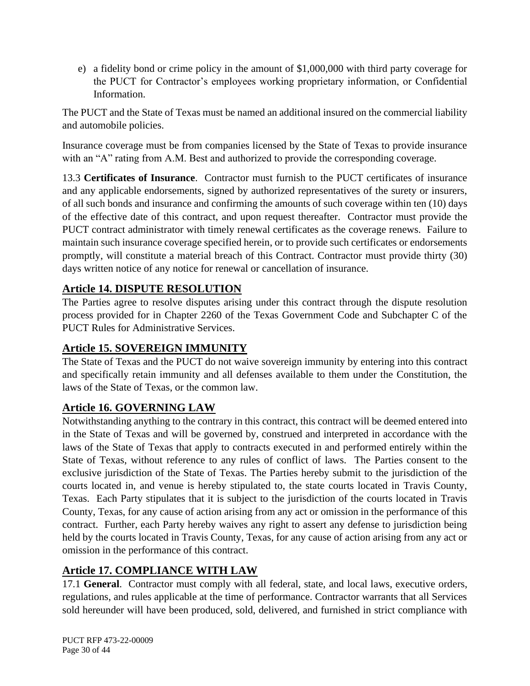e) a fidelity bond or crime policy in the amount of \$1,000,000 with third party coverage for the PUCT for Contractor's employees working proprietary information, or Confidential Information.

The PUCT and the State of Texas must be named an additional insured on the commercial liability and automobile policies.

Insurance coverage must be from companies licensed by the State of Texas to provide insurance with an "A" rating from A.M. Best and authorized to provide the corresponding coverage.

13.3 **Certificates of Insurance**. Contractor must furnish to the PUCT certificates of insurance and any applicable endorsements, signed by authorized representatives of the surety or insurers, of all such bonds and insurance and confirming the amounts of such coverage within ten (10) days of the effective date of this contract, and upon request thereafter. Contractor must provide the PUCT contract administrator with timely renewal certificates as the coverage renews. Failure to maintain such insurance coverage specified herein, or to provide such certificates or endorsements promptly, will constitute a material breach of this Contract. Contractor must provide thirty (30) days written notice of any notice for renewal or cancellation of insurance.

### <span id="page-29-0"></span>**Article 14. DISPUTE RESOLUTION**

The Parties agree to resolve disputes arising under this contract through the dispute resolution process provided for in Chapter 2260 of the Texas Government Code and Subchapter C of the PUCT Rules for Administrative Services.

### <span id="page-29-1"></span>**Article 15. SOVEREIGN IMMUNITY**

The State of Texas and the PUCT do not waive sovereign immunity by entering into this contract and specifically retain immunity and all defenses available to them under the Constitution, the laws of the State of Texas, or the common law.

### <span id="page-29-2"></span>**Article 16. GOVERNING LAW**

Notwithstanding anything to the contrary in this contract, this contract will be deemed entered into in the State of Texas and will be governed by, construed and interpreted in accordance with the laws of the State of Texas that apply to contracts executed in and performed entirely within the State of Texas, without reference to any rules of conflict of laws. The Parties consent to the exclusive jurisdiction of the State of Texas. The Parties hereby submit to the jurisdiction of the courts located in, and venue is hereby stipulated to, the state courts located in Travis County, Texas. Each Party stipulates that it is subject to the jurisdiction of the courts located in Travis County, Texas, for any cause of action arising from any act or omission in the performance of this contract. Further, each Party hereby waives any right to assert any defense to jurisdiction being held by the courts located in Travis County, Texas, for any cause of action arising from any act or omission in the performance of this contract.

### <span id="page-29-3"></span>**Article 17. COMPLIANCE WITH LAW**

17.1 **General**. Contractor must comply with all federal, state, and local laws, executive orders, regulations, and rules applicable at the time of performance. Contractor warrants that all Services sold hereunder will have been produced, sold, delivered, and furnished in strict compliance with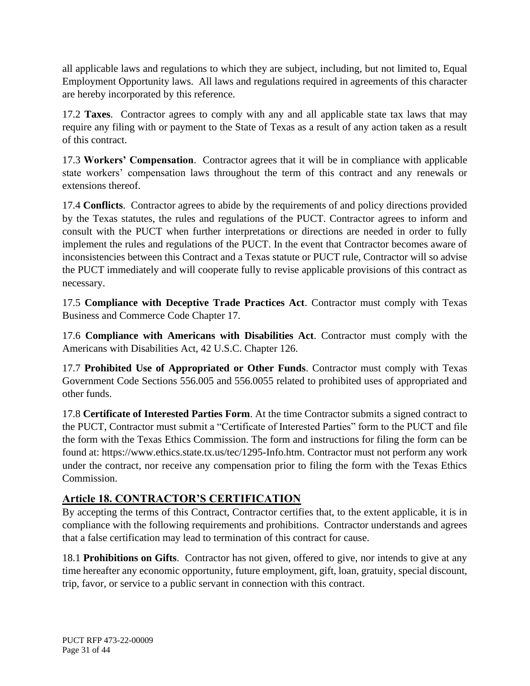all applicable laws and regulations to which they are subject, including, but not limited to, Equal Employment Opportunity laws. All laws and regulations required in agreements of this character are hereby incorporated by this reference.

17.2 **Taxes**. Contractor agrees to comply with any and all applicable state tax laws that may require any filing with or payment to the State of Texas as a result of any action taken as a result of this contract.

17.3 **Workers' Compensation**. Contractor agrees that it will be in compliance with applicable state workers' compensation laws throughout the term of this contract and any renewals or extensions thereof.

17.4 **Conflicts**. Contractor agrees to abide by the requirements of and policy directions provided by the Texas statutes, the rules and regulations of the PUCT. Contractor agrees to inform and consult with the PUCT when further interpretations or directions are needed in order to fully implement the rules and regulations of the PUCT. In the event that Contractor becomes aware of inconsistencies between this Contract and a Texas statute or PUCT rule, Contractor will so advise the PUCT immediately and will cooperate fully to revise applicable provisions of this contract as necessary.

17.5 **Compliance with Deceptive Trade Practices Act**. Contractor must comply with Texas Business and Commerce Code Chapter 17.

17.6 **Compliance with Americans with Disabilities Act**. Contractor must comply with the Americans with Disabilities Act, 42 U.S.C. Chapter 126.

17.7 **Prohibited Use of Appropriated or Other Funds**. Contractor must comply with Texas Government Code Sections 556.005 and 556.0055 related to prohibited uses of appropriated and other funds.

17.8 **Certificate of Interested Parties Form**. At the time Contractor submits a signed contract to the PUCT, Contractor must submit a "Certificate of Interested Parties" form to the PUCT and file the form with the Texas Ethics Commission. The form and instructions for filing the form can be found at: https://www.ethics.state.tx.us/tec/1295-Info.htm. Contractor must not perform any work under the contract, nor receive any compensation prior to filing the form with the Texas Ethics Commission.

### <span id="page-30-0"></span>**Article 18. CONTRACTOR'S CERTIFICATION**

By accepting the terms of this Contract, Contractor certifies that, to the extent applicable, it is in compliance with the following requirements and prohibitions. Contractor understands and agrees that a false certification may lead to termination of this contract for cause.

18.1 **Prohibitions on Gifts**. Contractor has not given, offered to give, nor intends to give at any time hereafter any economic opportunity, future employment, gift, loan, gratuity, special discount, trip, favor, or service to a public servant in connection with this contract.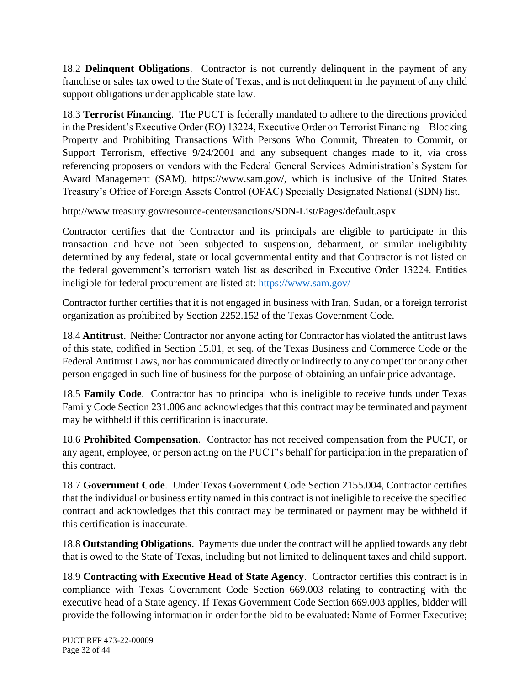18.2 **Delinquent Obligations**. Contractor is not currently delinquent in the payment of any franchise or sales tax owed to the State of Texas, and is not delinquent in the payment of any child support obligations under applicable state law.

18.3 **Terrorist Financing**. The PUCT is federally mandated to adhere to the directions provided in the President's Executive Order (EO) 13224, Executive Order on Terrorist Financing – Blocking Property and Prohibiting Transactions With Persons Who Commit, Threaten to Commit, or Support Terrorism, effective  $9/24/2001$  and any subsequent changes made to it, via cross referencing proposers or vendors with the Federal General Services Administration's System for Award Management (SAM), https://www.sam.gov/, which is inclusive of the United States Treasury's Office of Foreign Assets Control (OFAC) Specially Designated National (SDN) list.

http://www.treasury.gov/resource-center/sanctions/SDN-List/Pages/default.aspx

Contractor certifies that the Contractor and its principals are eligible to participate in this transaction and have not been subjected to suspension, debarment, or similar ineligibility determined by any federal, state or local governmental entity and that Contractor is not listed on the federal government's terrorism watch list as described in Executive Order 13224. Entities ineligible for federal procurement are listed at:<https://www.sam.gov/>

Contractor further certifies that it is not engaged in business with Iran, Sudan, or a foreign terrorist organization as prohibited by Section 2252.152 of the Texas Government Code.

18.4 **Antitrust**. Neither Contractor nor anyone acting for Contractor has violated the antitrust laws of this state, codified in Section 15.01, et seq. of the Texas Business and Commerce Code or the Federal Antitrust Laws, nor has communicated directly or indirectly to any competitor or any other person engaged in such line of business for the purpose of obtaining an unfair price advantage.

18.5 **Family Code**. Contractor has no principal who is ineligible to receive funds under Texas Family Code Section 231.006 and acknowledges that this contract may be terminated and payment may be withheld if this certification is inaccurate.

18.6 **Prohibited Compensation**. Contractor has not received compensation from the PUCT, or any agent, employee, or person acting on the PUCT's behalf for participation in the preparation of this contract.

18.7 **Government Code**. Under Texas Government Code Section 2155.004, Contractor certifies that the individual or business entity named in this contract is not ineligible to receive the specified contract and acknowledges that this contract may be terminated or payment may be withheld if this certification is inaccurate.

18.8 **Outstanding Obligations**. Payments due under the contract will be applied towards any debt that is owed to the State of Texas, including but not limited to delinquent taxes and child support.

18.9 **Contracting with Executive Head of State Agency**. Contractor certifies this contract is in compliance with Texas Government Code Section 669.003 relating to contracting with the executive head of a State agency. If Texas Government Code Section 669.003 applies, bidder will provide the following information in order for the bid to be evaluated: Name of Former Executive;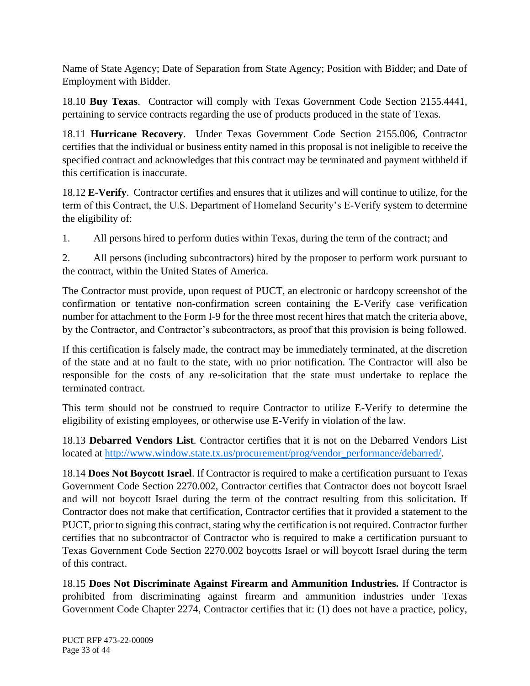Name of State Agency; Date of Separation from State Agency; Position with Bidder; and Date of Employment with Bidder.

18.10 **Buy Texas**. Contractor will comply with Texas Government Code Section 2155.4441, pertaining to service contracts regarding the use of products produced in the state of Texas.

18.11 **Hurricane Recovery**. Under Texas Government Code Section 2155.006, Contractor certifies that the individual or business entity named in this proposal is not ineligible to receive the specified contract and acknowledges that this contract may be terminated and payment withheld if this certification is inaccurate.

18.12 **E-Verify**. Contractor certifies and ensures that it utilizes and will continue to utilize, for the term of this Contract, the U.S. Department of Homeland Security's E-Verify system to determine the eligibility of:

1. All persons hired to perform duties within Texas, during the term of the contract; and

2. All persons (including subcontractors) hired by the proposer to perform work pursuant to the contract, within the United States of America.

The Contractor must provide, upon request of PUCT, an electronic or hardcopy screenshot of the confirmation or tentative non-confirmation screen containing the E-Verify case verification number for attachment to the Form I-9 for the three most recent hires that match the criteria above, by the Contractor, and Contractor's subcontractors, as proof that this provision is being followed.

If this certification is falsely made, the contract may be immediately terminated, at the discretion of the state and at no fault to the state, with no prior notification. The Contractor will also be responsible for the costs of any re-solicitation that the state must undertake to replace the terminated contract.

This term should not be construed to require Contractor to utilize E-Verify to determine the eligibility of existing employees, or otherwise use E-Verify in violation of the law.

18.13 **Debarred Vendors List**. Contractor certifies that it is not on the Debarred Vendors List located at [http://www.window.state.tx.us/procurement/prog/vendor\\_performance/debarred/.](http://www.window.state.tx.us/procurement/prog/vendor_performance/debarred/)

18.14 **Does Not Boycott Israel**. If Contractor is required to make a certification pursuant to Texas Government Code Section 2270.002, Contractor certifies that Contractor does not boycott Israel and will not boycott Israel during the term of the contract resulting from this solicitation. If Contractor does not make that certification, Contractor certifies that it provided a statement to the PUCT, prior to signing this contract, stating why the certification is not required. Contractor further certifies that no subcontractor of Contractor who is required to make a certification pursuant to Texas Government Code Section 2270.002 boycotts Israel or will boycott Israel during the term of this contract.

18.15 **Does Not Discriminate Against Firearm and Ammunition Industries.** If Contractor is prohibited from discriminating against firearm and ammunition industries under Texas Government Code Chapter 2274, Contractor certifies that it: (1) does not have a practice, policy,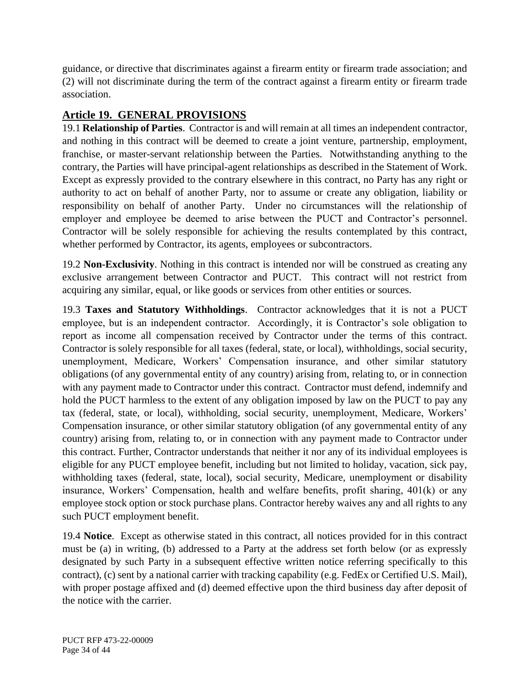guidance, or directive that discriminates against a firearm entity or firearm trade association; and (2) will not discriminate during the term of the contract against a firearm entity or firearm trade association.

# <span id="page-33-0"></span>**Article 19. GENERAL PROVISIONS**

19.1 **Relationship of Parties**. Contractor is and will remain at all times an independent contractor, and nothing in this contract will be deemed to create a joint venture, partnership, employment, franchise, or master-servant relationship between the Parties. Notwithstanding anything to the contrary, the Parties will have principal-agent relationships as described in the Statement of Work. Except as expressly provided to the contrary elsewhere in this contract, no Party has any right or authority to act on behalf of another Party, nor to assume or create any obligation, liability or responsibility on behalf of another Party. Under no circumstances will the relationship of employer and employee be deemed to arise between the PUCT and Contractor's personnel. Contractor will be solely responsible for achieving the results contemplated by this contract, whether performed by Contractor, its agents, employees or subcontractors.

19.2 **Non-Exclusivity**. Nothing in this contract is intended nor will be construed as creating any exclusive arrangement between Contractor and PUCT. This contract will not restrict from acquiring any similar, equal, or like goods or services from other entities or sources.

19.3 **Taxes and Statutory Withholdings**. Contractor acknowledges that it is not a PUCT employee, but is an independent contractor. Accordingly, it is Contractor's sole obligation to report as income all compensation received by Contractor under the terms of this contract. Contractor is solely responsible for all taxes (federal, state, or local), withholdings, social security, unemployment, Medicare, Workers' Compensation insurance, and other similar statutory obligations (of any governmental entity of any country) arising from, relating to, or in connection with any payment made to Contractor under this contract. Contractor must defend, indemnify and hold the PUCT harmless to the extent of any obligation imposed by law on the PUCT to pay any tax (federal, state, or local), withholding, social security, unemployment, Medicare, Workers' Compensation insurance, or other similar statutory obligation (of any governmental entity of any country) arising from, relating to, or in connection with any payment made to Contractor under this contract. Further, Contractor understands that neither it nor any of its individual employees is eligible for any PUCT employee benefit, including but not limited to holiday, vacation, sick pay, withholding taxes (federal, state, local), social security, Medicare, unemployment or disability insurance, Workers' Compensation, health and welfare benefits, profit sharing, 401(k) or any employee stock option or stock purchase plans. Contractor hereby waives any and all rights to any such PUCT employment benefit.

19.4 **Notice**. Except as otherwise stated in this contract, all notices provided for in this contract must be (a) in writing, (b) addressed to a Party at the address set forth below (or as expressly designated by such Party in a subsequent effective written notice referring specifically to this contract), (c) sent by a national carrier with tracking capability (e.g. FedEx or Certified U.S. Mail), with proper postage affixed and (d) deemed effective upon the third business day after deposit of the notice with the carrier.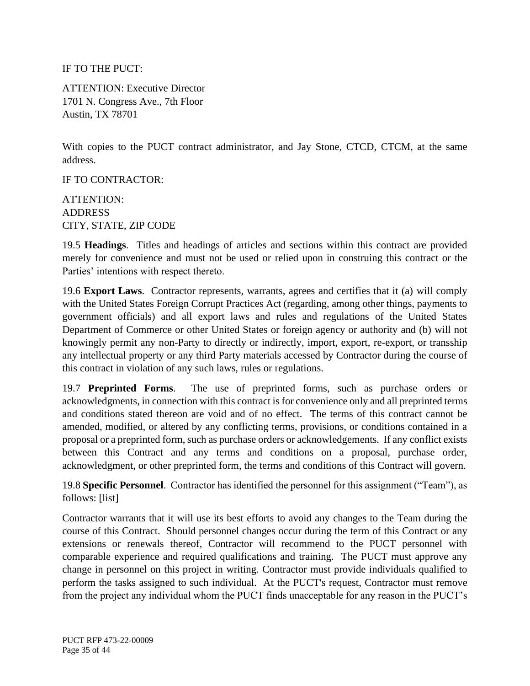IF TO THE PUCT:

ATTENTION: Executive Director 1701 N. Congress Ave., 7th Floor Austin, TX 78701

With copies to the PUCT contract administrator, and Jay Stone, CTCD, CTCM, at the same address.

IF TO CONTRACTOR:

ATTENTION: ADDRESS CITY, STATE, ZIP CODE

19.5 **Headings**. Titles and headings of articles and sections within this contract are provided merely for convenience and must not be used or relied upon in construing this contract or the Parties' intentions with respect thereto.

19.6 **Export Laws**. Contractor represents, warrants, agrees and certifies that it (a) will comply with the United States Foreign Corrupt Practices Act (regarding, among other things, payments to government officials) and all export laws and rules and regulations of the United States Department of Commerce or other United States or foreign agency or authority and (b) will not knowingly permit any non-Party to directly or indirectly, import, export, re-export, or transship any intellectual property or any third Party materials accessed by Contractor during the course of this contract in violation of any such laws, rules or regulations.

19.7 **Preprinted Forms**. The use of preprinted forms, such as purchase orders or acknowledgments, in connection with this contract is for convenience only and all preprinted terms and conditions stated thereon are void and of no effect. The terms of this contract cannot be amended, modified, or altered by any conflicting terms, provisions, or conditions contained in a proposal or a preprinted form, such as purchase orders or acknowledgements. If any conflict exists between this Contract and any terms and conditions on a proposal, purchase order, acknowledgment, or other preprinted form, the terms and conditions of this Contract will govern.

19.8 **Specific Personnel**. Contractor has identified the personnel for this assignment ("Team"), as follows: [list]

Contractor warrants that it will use its best efforts to avoid any changes to the Team during the course of this Contract. Should personnel changes occur during the term of this Contract or any extensions or renewals thereof, Contractor will recommend to the PUCT personnel with comparable experience and required qualifications and training. The PUCT must approve any change in personnel on this project in writing. Contractor must provide individuals qualified to perform the tasks assigned to such individual. At the PUCT's request, Contractor must remove from the project any individual whom the PUCT finds unacceptable for any reason in the PUCT's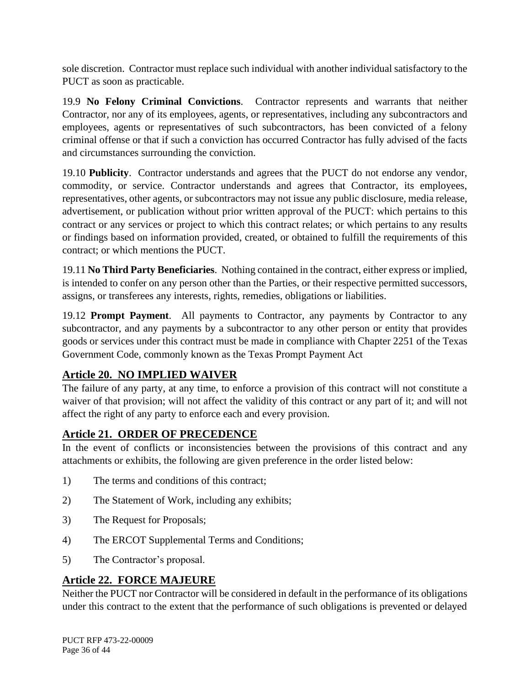sole discretion. Contractor must replace such individual with another individual satisfactory to the PUCT as soon as practicable.

19.9 **No Felony Criminal Convictions**. Contractor represents and warrants that neither Contractor, nor any of its employees, agents, or representatives, including any subcontractors and employees, agents or representatives of such subcontractors, has been convicted of a felony criminal offense or that if such a conviction has occurred Contractor has fully advised of the facts and circumstances surrounding the conviction.

19.10 **Publicity**. Contractor understands and agrees that the PUCT do not endorse any vendor, commodity, or service. Contractor understands and agrees that Contractor, its employees, representatives, other agents, or subcontractors may not issue any public disclosure, media release, advertisement, or publication without prior written approval of the PUCT: which pertains to this contract or any services or project to which this contract relates; or which pertains to any results or findings based on information provided, created, or obtained to fulfill the requirements of this contract; or which mentions the PUCT.

19.11 **No Third Party Beneficiaries**. Nothing contained in the contract, either express or implied, is intended to confer on any person other than the Parties, or their respective permitted successors, assigns, or transferees any interests, rights, remedies, obligations or liabilities.

19.12 **Prompt Payment**. All payments to Contractor, any payments by Contractor to any subcontractor, and any payments by a subcontractor to any other person or entity that provides goods or services under this contract must be made in compliance with Chapter 2251 of the Texas Government Code, commonly known as the Texas Prompt Payment Act

### <span id="page-35-0"></span>**Article 20. NO IMPLIED WAIVER**

The failure of any party, at any time, to enforce a provision of this contract will not constitute a waiver of that provision; will not affect the validity of this contract or any part of it; and will not affect the right of any party to enforce each and every provision.

### <span id="page-35-1"></span>**Article 21. ORDER OF PRECEDENCE**

In the event of conflicts or inconsistencies between the provisions of this contract and any attachments or exhibits, the following are given preference in the order listed below:

- 1) The terms and conditions of this contract;
- 2) The Statement of Work, including any exhibits;
- 3) The Request for Proposals;
- 4) The ERCOT Supplemental Terms and Conditions;
- 5) The Contractor's proposal.

### <span id="page-35-2"></span>**Article 22. FORCE MAJEURE**

Neither the PUCT nor Contractor will be considered in default in the performance of its obligations under this contract to the extent that the performance of such obligations is prevented or delayed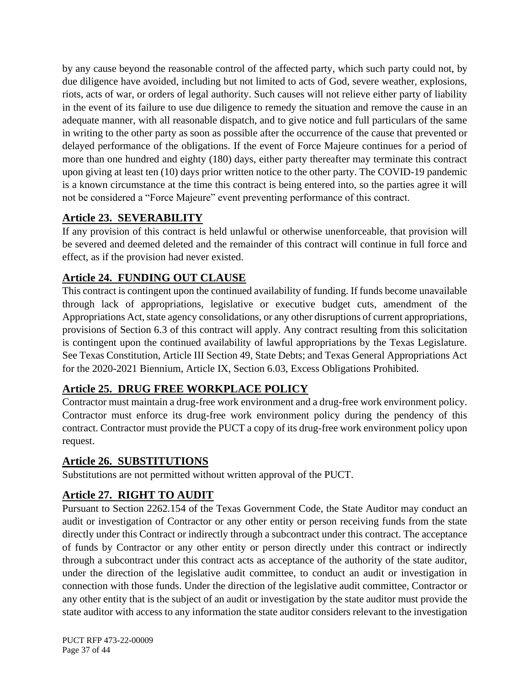by any cause beyond the reasonable control of the affected party, which such party could not, by due diligence have avoided, including but not limited to acts of God, severe weather, explosions, riots, acts of war, or orders of legal authority. Such causes will not relieve either party of liability in the event of its failure to use due diligence to remedy the situation and remove the cause in an adequate manner, with all reasonable dispatch, and to give notice and full particulars of the same in writing to the other party as soon as possible after the occurrence of the cause that prevented or delayed performance of the obligations. If the event of Force Majeure continues for a period of more than one hundred and eighty (180) days, either party thereafter may terminate this contract upon giving at least ten (10) days prior written notice to the other party. The COVID-19 pandemic is a known circumstance at the time this contract is being entered into, so the parties agree it will not be considered a "Force Majeure" event preventing performance of this contract.

### <span id="page-36-0"></span>**Article 23. SEVERABILITY**

If any provision of this contract is held unlawful or otherwise unenforceable, that provision will be severed and deemed deleted and the remainder of this contract will continue in full force and effect, as if the provision had never existed.

# <span id="page-36-1"></span>**Article 24. FUNDING OUT CLAUSE**

This contract is contingent upon the continued availability of funding. If funds become unavailable through lack of appropriations, legislative or executive budget cuts, amendment of the Appropriations Act, state agency consolidations, or any other disruptions of current appropriations, provisions of Section 6.3 of this contract will apply. Any contract resulting from this solicitation is contingent upon the continued availability of lawful appropriations by the Texas Legislature. See Texas Constitution, Article III Section 49, State Debts; and Texas General Appropriations Act for the 2020-2021 Biennium, Article IX, Section 6.03, Excess Obligations Prohibited.

# <span id="page-36-2"></span>**Article 25. DRUG FREE WORKPLACE POLICY**

Contractor must maintain a drug-free work environment and a drug-free work environment policy. Contractor must enforce its drug-free work environment policy during the pendency of this contract. Contractor must provide the PUCT a copy of its drug-free work environment policy upon request.

# <span id="page-36-3"></span>**Article 26. SUBSTITUTIONS**

Substitutions are not permitted without written approval of the PUCT.

# <span id="page-36-4"></span>**Article 27. RIGHT TO AUDIT**

Pursuant to Section 2262.154 of the Texas Government Code, the State Auditor may conduct an audit or investigation of Contractor or any other entity or person receiving funds from the state directly under this Contract or indirectly through a subcontract under this contract. The acceptance of funds by Contractor or any other entity or person directly under this contract or indirectly through a subcontract under this contract acts as acceptance of the authority of the state auditor, under the direction of the legislative audit committee, to conduct an audit or investigation in connection with those funds. Under the direction of the legislative audit committee, Contractor or any other entity that is the subject of an audit or investigation by the state auditor must provide the state auditor with access to any information the state auditor considers relevant to the investigation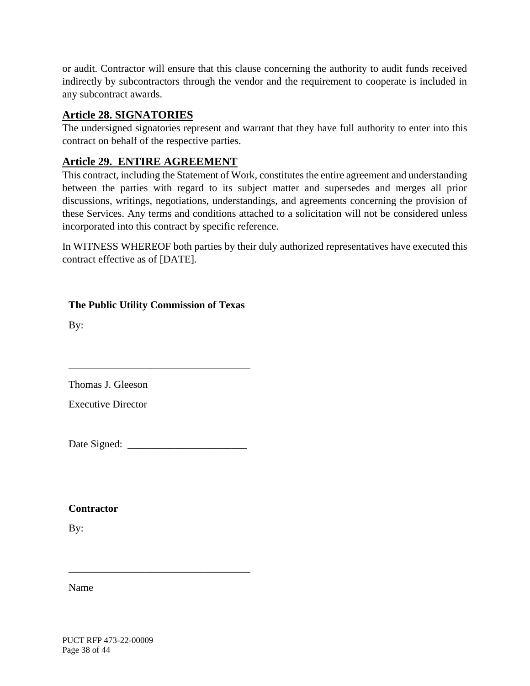or audit. Contractor will ensure that this clause concerning the authority to audit funds received indirectly by subcontractors through the vendor and the requirement to cooperate is included in any subcontract awards.

#### <span id="page-37-0"></span>**Article 28. SIGNATORIES**

The undersigned signatories represent and warrant that they have full authority to enter into this contract on behalf of the respective parties.

#### <span id="page-37-1"></span>**Article 29. ENTIRE AGREEMENT**

This contract, including the Statement of Work, constitutes the entire agreement and understanding between the parties with regard to its subject matter and supersedes and merges all prior discussions, writings, negotiations, understandings, and agreements concerning the provision of these Services. Any terms and conditions attached to a solicitation will not be considered unless incorporated into this contract by specific reference.

In WITNESS WHEREOF both parties by their duly authorized representatives have executed this contract effective as of [DATE].

**The Public Utility Commission of Texas**

\_\_\_\_\_\_\_\_\_\_\_\_\_\_\_\_\_\_\_\_\_\_\_\_\_\_\_\_\_\_\_\_\_\_\_

By:

Thomas J. Gleeson

Executive Director

Date Signed: \_\_\_\_\_\_\_\_\_\_\_\_\_\_\_\_\_\_\_\_\_\_\_

\_\_\_\_\_\_\_\_\_\_\_\_\_\_\_\_\_\_\_\_\_\_\_\_\_\_\_\_\_\_\_\_\_\_\_

**Contractor**

By:

Name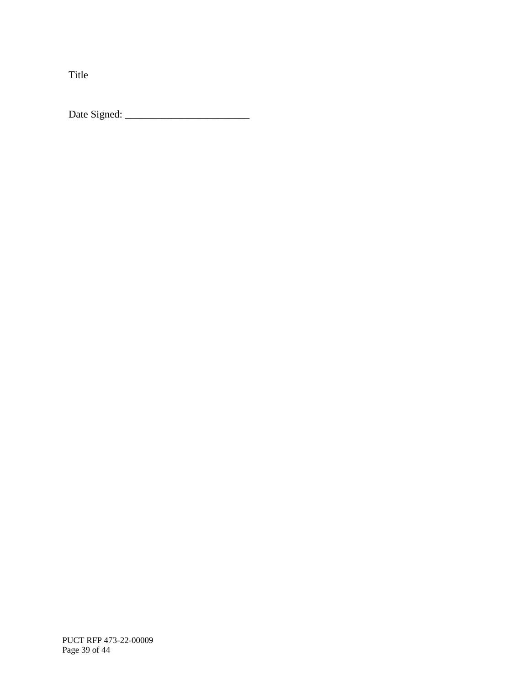Title

Date Signed: \_\_\_\_\_\_\_\_\_\_\_\_\_\_\_\_\_\_\_\_\_\_\_\_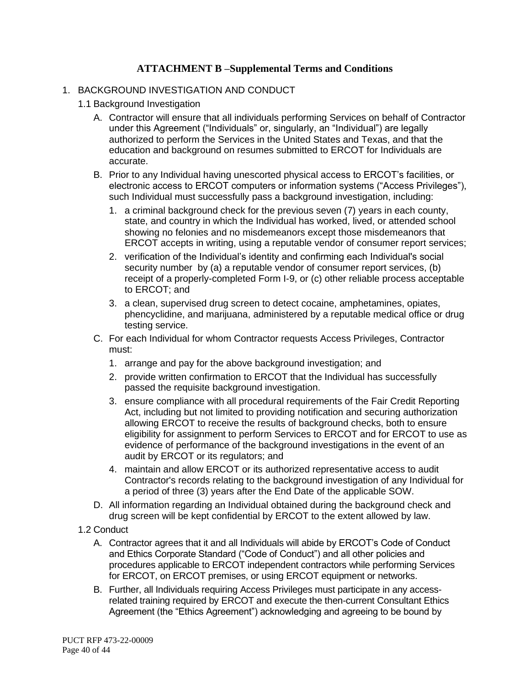#### **ATTACHMENT B –Supplemental Terms and Conditions**

#### 1. BACKGROUND INVESTIGATION AND CONDUCT

- 1.1 Background Investigation
	- A. Contractor will ensure that all individuals performing Services on behalf of Contractor under this Agreement ("Individuals" or, singularly, an "Individual") are legally authorized to perform the Services in the United States and Texas, and that the education and background on resumes submitted to ERCOT for Individuals are accurate.
	- B. Prior to any Individual having unescorted physical access to ERCOT's facilities, or electronic access to ERCOT computers or information systems ("Access Privileges"), such Individual must successfully pass a background investigation, including:
		- 1. a criminal background check for the previous seven (7) years in each county, state, and country in which the Individual has worked, lived, or attended school showing no felonies and no misdemeanors except those misdemeanors that ERCOT accepts in writing, using a reputable vendor of consumer report services;
		- 2. verification of the Individual's identity and confirming each Individual's social security number by (a) a reputable vendor of consumer report services, (b) receipt of a properly-completed Form I-9, or (c) other reliable process acceptable to ERCOT; and
		- 3. a clean, supervised drug screen to detect cocaine, amphetamines, opiates, phencyclidine, and marijuana, administered by a reputable medical office or drug testing service.
	- C. For each Individual for whom Contractor requests Access Privileges, Contractor must:
		- 1. arrange and pay for the above background investigation; and
		- 2. provide written confirmation to ERCOT that the Individual has successfully passed the requisite background investigation.
		- 3. ensure compliance with all procedural requirements of the Fair Credit Reporting Act, including but not limited to providing notification and securing authorization allowing ERCOT to receive the results of background checks, both to ensure eligibility for assignment to perform Services to ERCOT and for ERCOT to use as evidence of performance of the background investigations in the event of an audit by ERCOT or its regulators; and
		- 4. maintain and allow ERCOT or its authorized representative access to audit Contractor's records relating to the background investigation of any Individual for a period of three (3) years after the End Date of the applicable SOW.
	- D. All information regarding an Individual obtained during the background check and drug screen will be kept confidential by ERCOT to the extent allowed by law.
- 1.2 Conduct
	- A. Contractor agrees that it and all Individuals will abide by ERCOT's Code of Conduct and Ethics Corporate Standard ("Code of Conduct") and all other policies and procedures applicable to ERCOT independent contractors while performing Services for ERCOT, on ERCOT premises, or using ERCOT equipment or networks.
	- B. Further, all Individuals requiring Access Privileges must participate in any accessrelated training required by ERCOT and execute the then-current Consultant Ethics Agreement (the "Ethics Agreement") acknowledging and agreeing to be bound by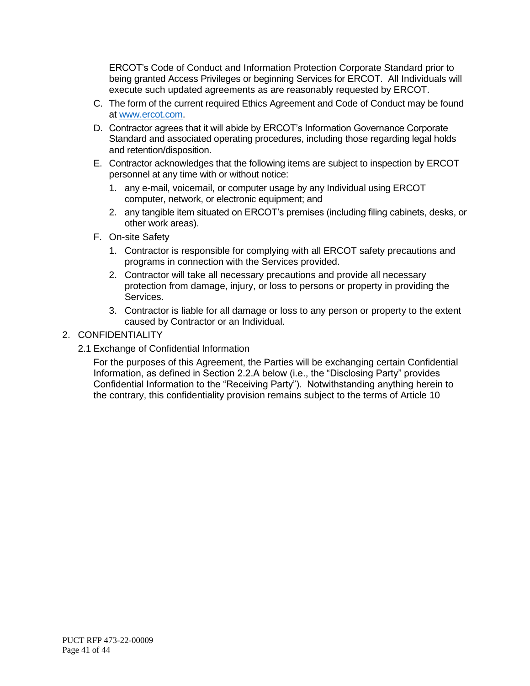ERCOT's Code of Conduct and Information Protection Corporate Standard prior to being granted Access Privileges or beginning Services for ERCOT. All Individuals will execute such updated agreements as are reasonably requested by ERCOT.

- C. The form of the current required Ethics Agreement and Code of Conduct may be found at [www.ercot.com.](http://www.ercot.com/)
- D. Contractor agrees that it will abide by ERCOT's Information Governance Corporate Standard and associated operating procedures, including those regarding legal holds and retention/disposition.
- E. Contractor acknowledges that the following items are subject to inspection by ERCOT personnel at any time with or without notice:
	- 1. any e-mail, voicemail, or computer usage by any Individual using ERCOT computer, network, or electronic equipment; and
	- 2. any tangible item situated on ERCOT's premises (including filing cabinets, desks, or other work areas).
- F. On-site Safety
	- 1. Contractor is responsible for complying with all ERCOT safety precautions and programs in connection with the Services provided.
	- 2. Contractor will take all necessary precautions and provide all necessary protection from damage, injury, or loss to persons or property in providing the Services.
	- 3. Contractor is liable for all damage or loss to any person or property to the extent caused by Contractor or an Individual.

#### 2. CONFIDENTIALITY

2.1 Exchange of Confidential Information

For the purposes of this Agreement, the Parties will be exchanging certain Confidential Information, as defined in Section 2.2.A below (i.e., the "Disclosing Party" provides Confidential Information to the "Receiving Party"). Notwithstanding anything herein to the contrary, this confidentiality provision remains subject to the terms of Article 10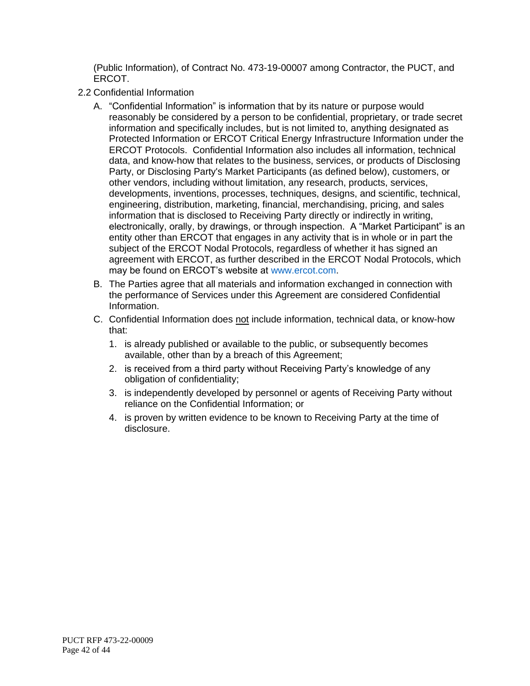(Public Information), of Contract No. 473-19-00007 among Contractor, the PUCT, and ERCOT.

- 2.2 Confidential Information
	- A. "Confidential Information" is information that by its nature or purpose would reasonably be considered by a person to be confidential, proprietary, or trade secret information and specifically includes, but is not limited to, anything designated as Protected Information or ERCOT Critical Energy Infrastructure Information under the ERCOT Protocols. Confidential Information also includes all information, technical data, and know-how that relates to the business, services, or products of Disclosing Party, or Disclosing Party's Market Participants (as defined below), customers, or other vendors, including without limitation, any research, products, services, developments, inventions, processes, techniques, designs, and scientific, technical, engineering, distribution, marketing, financial, merchandising, pricing, and sales information that is disclosed to Receiving Party directly or indirectly in writing, electronically, orally, by drawings, or through inspection. A "Market Participant" is an entity other than ERCOT that engages in any activity that is in whole or in part the subject of the ERCOT Nodal Protocols, regardless of whether it has signed an agreement with ERCOT, as further described in the ERCOT Nodal Protocols, which may be found on ERCOT's website at [www.ercot.com.](http://www.ercot.com/)
	- B. The Parties agree that all materials and information exchanged in connection with the performance of Services under this Agreement are considered Confidential Information.
	- C. Confidential Information does not include information, technical data, or know-how that:
		- 1. is already published or available to the public, or subsequently becomes available, other than by a breach of this Agreement;
		- 2. is received from a third party without Receiving Party's knowledge of any obligation of confidentiality;
		- 3. is independently developed by personnel or agents of Receiving Party without reliance on the Confidential Information; or
		- 4. is proven by written evidence to be known to Receiving Party at the time of disclosure.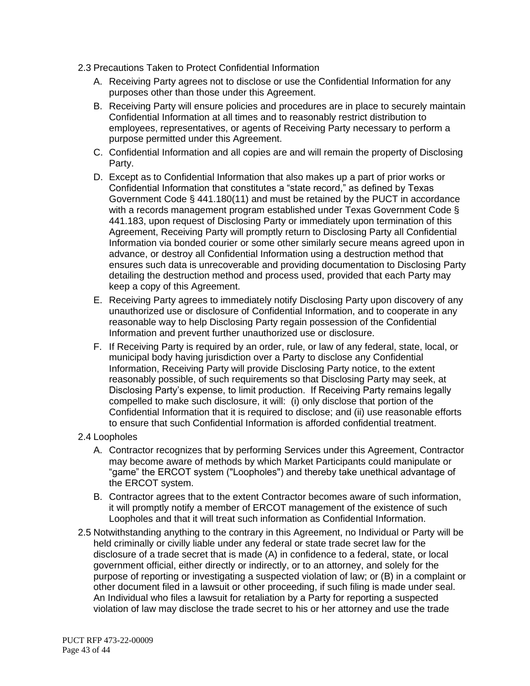- 2.3 Precautions Taken to Protect Confidential Information
	- A. Receiving Party agrees not to disclose or use the Confidential Information for any purposes other than those under this Agreement.
	- B. Receiving Party will ensure policies and procedures are in place to securely maintain Confidential Information at all times and to reasonably restrict distribution to employees, representatives, or agents of Receiving Party necessary to perform a purpose permitted under this Agreement.
	- C. Confidential Information and all copies are and will remain the property of Disclosing Party.
	- D. Except as to Confidential Information that also makes up a part of prior works or Confidential Information that constitutes a "state record," as defined by Texas Government Code § 441.180(11) and must be retained by the PUCT in accordance with a records management program established under Texas Government Code § 441.183, upon request of Disclosing Party or immediately upon termination of this Agreement, Receiving Party will promptly return to Disclosing Party all Confidential Information via bonded courier or some other similarly secure means agreed upon in advance, or destroy all Confidential Information using a destruction method that ensures such data is unrecoverable and providing documentation to Disclosing Party detailing the destruction method and process used, provided that each Party may keep a copy of this Agreement.
	- E. Receiving Party agrees to immediately notify Disclosing Party upon discovery of any unauthorized use or disclosure of Confidential Information, and to cooperate in any reasonable way to help Disclosing Party regain possession of the Confidential Information and prevent further unauthorized use or disclosure.
	- F. If Receiving Party is required by an order, rule, or law of any federal, state, local, or municipal body having jurisdiction over a Party to disclose any Confidential Information, Receiving Party will provide Disclosing Party notice, to the extent reasonably possible, of such requirements so that Disclosing Party may seek, at Disclosing Party's expense, to limit production. If Receiving Party remains legally compelled to make such disclosure, it will: (i) only disclose that portion of the Confidential Information that it is required to disclose; and (ii) use reasonable efforts to ensure that such Confidential Information is afforded confidential treatment.
- 2.4 Loopholes
	- A. Contractor recognizes that by performing Services under this Agreement, Contractor may become aware of methods by which Market Participants could manipulate or "game" the ERCOT system ("Loopholes") and thereby take unethical advantage of the ERCOT system.
	- B. Contractor agrees that to the extent Contractor becomes aware of such information, it will promptly notify a member of ERCOT management of the existence of such Loopholes and that it will treat such information as Confidential Information.
- 2.5 Notwithstanding anything to the contrary in this Agreement, no Individual or Party will be held criminally or civilly liable under any federal or state trade secret law for the disclosure of a trade secret that is made (A) in confidence to a federal, state, or local government official, either directly or indirectly, or to an attorney, and solely for the purpose of reporting or investigating a suspected violation of law; or (B) in a complaint or other document filed in a lawsuit or other proceeding, if such filing is made under seal. An Individual who files a lawsuit for retaliation by a Party for reporting a suspected violation of law may disclose the trade secret to his or her attorney and use the trade